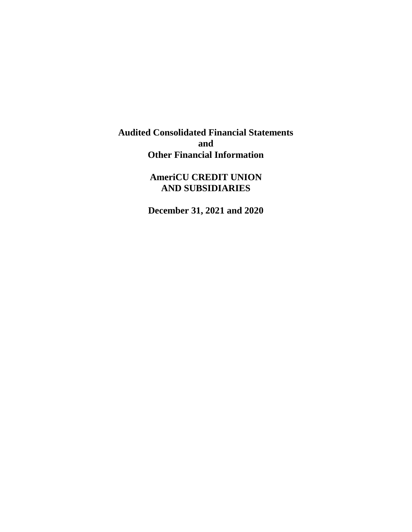**Audited Consolidated Financial Statements and Other Financial Information**

> **AmeriCU CREDIT UNION AND SUBSIDIARIES**

**December 31, 2021 and 2020**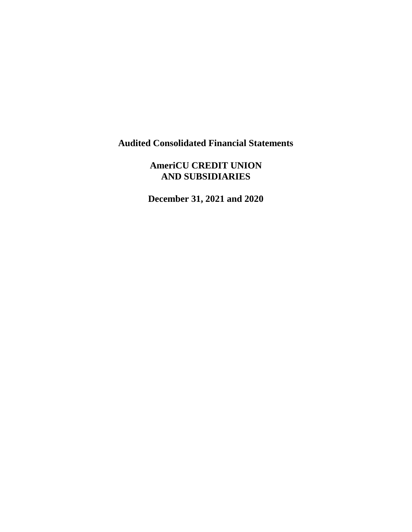**Audited Consolidated Financial Statements**

# **AmeriCU CREDIT UNION AND SUBSIDIARIES**

**December 31, 2021 and 2020**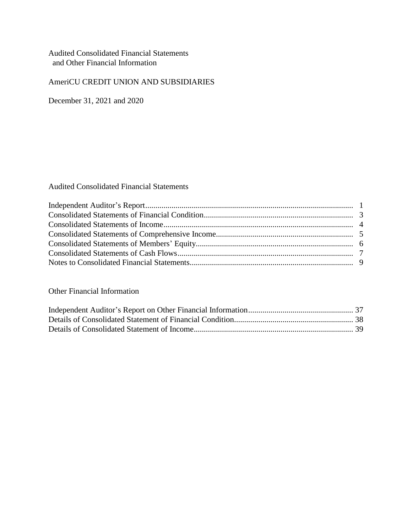Audited Consolidated Financial Statements and Other Financial Information

## AmeriCU CREDIT UNION AND SUBSIDIARIES

December 31, 2021 and 2020

## Audited Consolidated Financial Statements

### Other Financial Information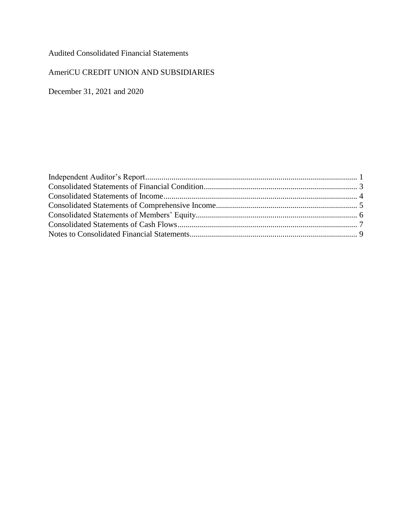# Audited Consolidated Financial Statements

## AmeriCU CREDIT UNION AND SUBSIDIARIES

December 31, 2021 and 2020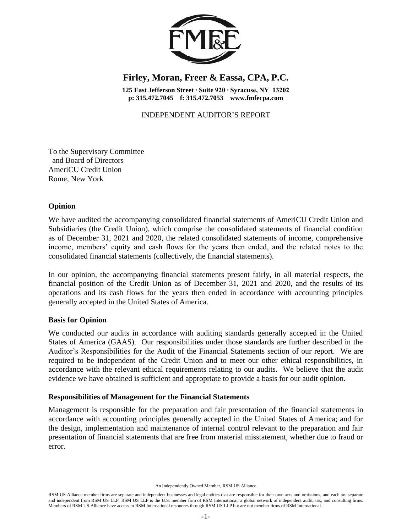

# **Firley, Moran, Freer & Eassa, CPA, P.C.**

**125 East Jefferson Street ∙ Suite 920 ∙ Syracuse, NY 13202 p: 315.472.7045 f: 315.472.7053 www.fmfecpa.com**

INDEPENDENT AUDITOR'S REPORT

To the Supervisory Committee and Board of Directors AmeriCU Credit Union Rome, New York

#### **Opinion**

We have audited the accompanying consolidated financial statements of AmeriCU Credit Union and Subsidiaries (the Credit Union), which comprise the consolidated statements of financial condition as of December 31, 2021 and 2020, the related consolidated statements of income, comprehensive income, members' equity and cash flows for the years then ended, and the related notes to the consolidated financial statements (collectively, the financial statements).

In our opinion, the accompanying financial statements present fairly, in all material respects, the financial position of the Credit Union as of December 31, 2021 and 2020, and the results of its operations and its cash flows for the years then ended in accordance with accounting principles generally accepted in the United States of America.

#### **Basis for Opinion**

We conducted our audits in accordance with auditing standards generally accepted in the United States of America (GAAS). Our responsibilities under those standards are further described in the Auditor's Responsibilities for the Audit of the Financial Statements section of our report. We are required to be independent of the Credit Union and to meet our other ethical responsibilities, in accordance with the relevant ethical requirements relating to our audits. We believe that the audit evidence we have obtained is sufficient and appropriate to provide a basis for our audit opinion.

#### **Responsibilities of Management for the Financial Statements**

Management is responsible for the preparation and fair presentation of the financial statements in accordance with accounting principles generally accepted in the United States of America; and for the design, implementation and maintenance of internal control relevant to the preparation and fair presentation of financial statements that are free from material misstatement, whether due to fraud or error.

An Independently Owned Member, RSM US Alliance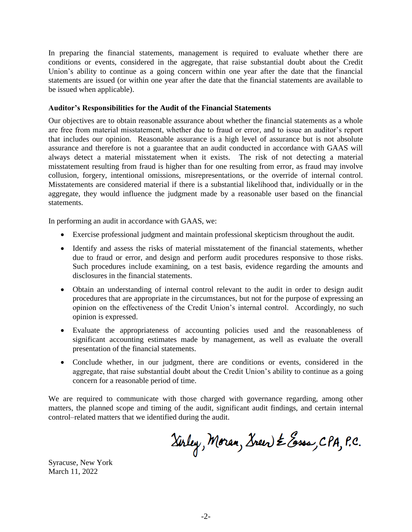In preparing the financial statements, management is required to evaluate whether there are conditions or events, considered in the aggregate, that raise substantial doubt about the Credit Union's ability to continue as a going concern within one year after the date that the financial statements are issued (or within one year after the date that the financial statements are available to be issued when applicable).

#### **Auditor's Responsibilities for the Audit of the Financial Statements**

Our objectives are to obtain reasonable assurance about whether the financial statements as a whole are free from material misstatement, whether due to fraud or error, and to issue an auditor's report that includes our opinion. Reasonable assurance is a high level of assurance but is not absolute assurance and therefore is not a guarantee that an audit conducted in accordance with GAAS will always detect a material misstatement when it exists. The risk of not detecting a material misstatement resulting from fraud is higher than for one resulting from error, as fraud may involve collusion, forgery, intentional omissions, misrepresentations, or the override of internal control. Misstatements are considered material if there is a substantial likelihood that, individually or in the aggregate, they would influence the judgment made by a reasonable user based on the financial statements.

In performing an audit in accordance with GAAS, we:

- Exercise professional judgment and maintain professional skepticism throughout the audit.
- Identify and assess the risks of material misstatement of the financial statements, whether due to fraud or error, and design and perform audit procedures responsive to those risks. Such procedures include examining, on a test basis, evidence regarding the amounts and disclosures in the financial statements.
- Obtain an understanding of internal control relevant to the audit in order to design audit procedures that are appropriate in the circumstances, but not for the purpose of expressing an opinion on the effectiveness of the Credit Union's internal control. Accordingly, no such opinion is expressed.
- Evaluate the appropriateness of accounting policies used and the reasonableness of significant accounting estimates made by management, as well as evaluate the overall presentation of the financial statements.
- Conclude whether, in our judgment, there are conditions or events, considered in the aggregate, that raise substantial doubt about the Credit Union's ability to continue as a going concern for a reasonable period of time.

We are required to communicate with those charged with governance regarding, among other matters, the planned scope and timing of the audit, significant audit findings, and certain internal control–related matters that we identified during the audit.

Sirley, Moran, Sreer) E Essa, CPA, P.C.

Syracuse, New York March 11, 2022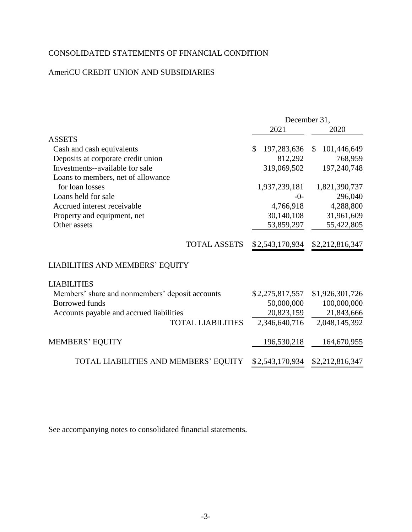# CONSOLIDATED STATEMENTS OF FINANCIAL CONDITION

## AmeriCU CREDIT UNION AND SUBSIDIARIES

|                                                 | December 31,      |                             |  |
|-------------------------------------------------|-------------------|-----------------------------|--|
|                                                 | 2021              | 2020                        |  |
| <b>ASSETS</b>                                   |                   |                             |  |
| Cash and cash equivalents                       | 197,283,636<br>\$ | 101,446,649<br>$\mathbb{S}$ |  |
| Deposits at corporate credit union              | 812,292           | 768,959                     |  |
| Investments--available for sale                 | 319,069,502       | 197,240,748                 |  |
| Loans to members, net of allowance              |                   |                             |  |
| for loan losses                                 | 1,937,239,181     | 1,821,390,737               |  |
| Loans held for sale                             | $-()$ -           | 296,040                     |  |
| Accrued interest receivable                     | 4,766,918         | 4,288,800                   |  |
| Property and equipment, net                     | 30,140,108        | 31,961,609                  |  |
| Other assets                                    | 53,859,297        | 55,422,805                  |  |
| <b>TOTAL ASSETS</b>                             | \$2,543,170,934   | \$2,212,816,347             |  |
| LIABILITIES AND MEMBERS' EQUITY                 |                   |                             |  |
| <b>LIABILITIES</b>                              |                   |                             |  |
| Members' share and nonmembers' deposit accounts | \$2,275,817,557   | \$1,926,301,726             |  |
| <b>Borrowed funds</b>                           | 50,000,000        | 100,000,000                 |  |
| Accounts payable and accrued liabilities        | 20,823,159        | 21,843,666                  |  |
| <b>TOTAL LIABILITIES</b>                        | 2,346,640,716     | 2,048,145,392               |  |
| <b>MEMBERS' EQUITY</b>                          | 196,530,218       | 164,670,955                 |  |
| TOTAL LIABILITIES AND MEMBERS' EQUITY           | \$2,543,170,934   | \$2,212,816,347             |  |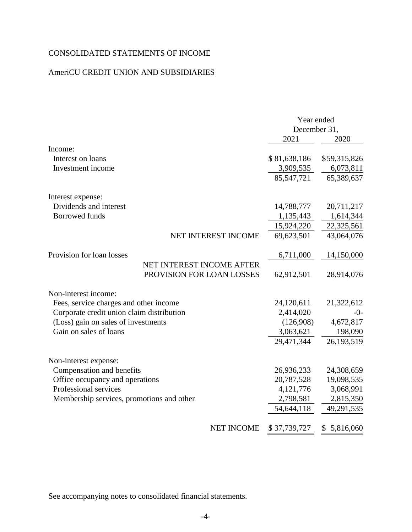# CONSOLIDATED STATEMENTS OF INCOME

## AmeriCU CREDIT UNION AND SUBSIDIARIES

|                                           | Year ended   |              |
|-------------------------------------------|--------------|--------------|
|                                           | December 31, |              |
|                                           | 2021         | 2020         |
| Income:                                   |              |              |
| Interest on loans                         | \$81,638,186 | \$59,315,826 |
| Investment income                         | 3,909,535    | 6,073,811    |
|                                           | 85,547,721   | 65,389,637   |
| Interest expense:                         |              |              |
| Dividends and interest                    | 14,788,777   | 20,711,217   |
| <b>Borrowed funds</b>                     | 1,135,443    | 1,614,344    |
|                                           | 15,924,220   | 22,325,561   |
| <b>NET INTEREST INCOME</b>                | 69,623,501   | 43,064,076   |
| Provision for loan losses                 | 6,711,000    | 14,150,000   |
| NET INTEREST INCOME AFTER                 |              |              |
| PROVISION FOR LOAN LOSSES                 | 62,912,501   | 28,914,076   |
| Non-interest income:                      |              |              |
| Fees, service charges and other income    | 24,120,611   | 21,322,612   |
| Corporate credit union claim distribution | 2,414,020    | $-0-$        |
| (Loss) gain on sales of investments       | (126,908)    | 4,672,817    |
| Gain on sales of loans                    | 3,063,621    | 198,090      |
|                                           | 29,471,344   | 26,193,519   |
| Non-interest expense:                     |              |              |
| Compensation and benefits                 | 26,936,233   | 24,308,659   |
| Office occupancy and operations           | 20,787,528   | 19,098,535   |
| Professional services                     | 4,121,776    | 3,068,991    |
| Membership services, promotions and other | 2,798,581    | 2,815,350    |
|                                           | 54,644,118   | 49,291,535   |
| <b>NET INCOME</b>                         | \$37,739,727 | 5,816,060    |
|                                           |              |              |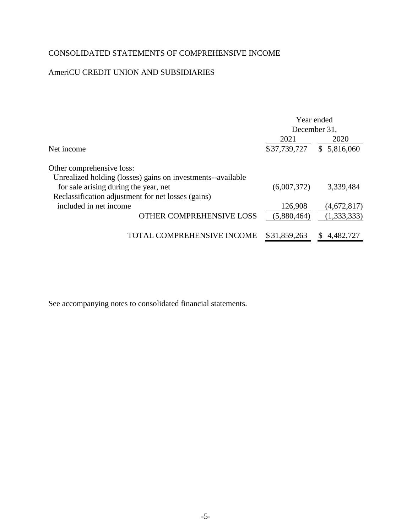# CONSOLIDATED STATEMENTS OF COMPREHENSIVE INCOME

## AmeriCU CREDIT UNION AND SUBSIDIARIES

|                                                             | Year ended<br>December 31, |                  |
|-------------------------------------------------------------|----------------------------|------------------|
|                                                             |                            |                  |
|                                                             | 2021                       | 2020             |
| Net income                                                  | \$37,739,727               | \$5,816,060      |
| Other comprehensive loss:                                   |                            |                  |
| Unrealized holding (losses) gains on investments--available |                            |                  |
| for sale arising during the year, net                       | (6,007,372)                | 3,339,484        |
| Reclassification adjustment for net losses (gains)          |                            |                  |
| included in net income                                      | 126,908                    | (4,672,817)      |
| OTHER COMPREHENSIVE LOSS                                    | (5,880,464)                | (1, 333, 333)    |
| TOTAL COMPREHENSIVE INCOME                                  | \$31,859,263               | 4,482,727<br>\$. |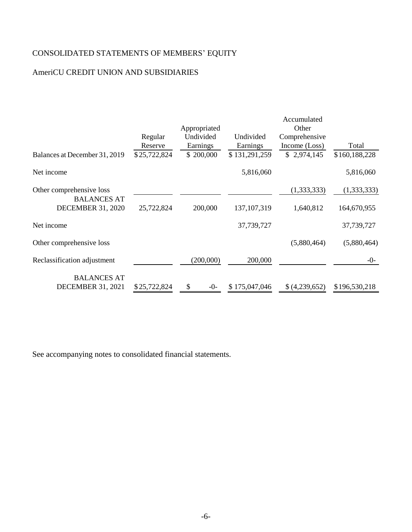# CONSOLIDATED STATEMENTS OF MEMBERS' EQUITY

## AmeriCU CREDIT UNION AND SUBSIDIARIES

|                                                |              |                           |               | Accumulated            |               |
|------------------------------------------------|--------------|---------------------------|---------------|------------------------|---------------|
|                                                | Regular      | Appropriated<br>Undivided | Undivided     | Other<br>Comprehensive |               |
|                                                | Reserve      | Earnings                  | Earnings      | Income (Loss)          | Total         |
| Balances at December 31, 2019                  | \$25,722,824 | \$200,000                 | \$131,291,259 | \$2,974,145            | \$160,188,228 |
| Net income                                     |              |                           | 5,816,060     |                        | 5,816,060     |
| Other comprehensive loss                       |              |                           |               | (1,333,333)            | (1,333,333)   |
| <b>BALANCES AT</b><br><b>DECEMBER 31, 2020</b> | 25,722,824   | 200,000                   | 137, 107, 319 | 1,640,812              | 164,670,955   |
| Net income                                     |              |                           | 37,739,727    |                        | 37,739,727    |
| Other comprehensive loss                       |              |                           |               | (5,880,464)            | (5,880,464)   |
| Reclassification adjustment                    |              | (200,000)                 | 200,000       |                        | $-0-$         |
| <b>BALANCES AT</b>                             |              |                           |               |                        |               |
| <b>DECEMBER 31, 2021</b>                       | \$25,722,824 | \$<br>$-0-$               | \$175,047,046 | \$(4,239,652)          | \$196,530,218 |
|                                                |              |                           |               |                        |               |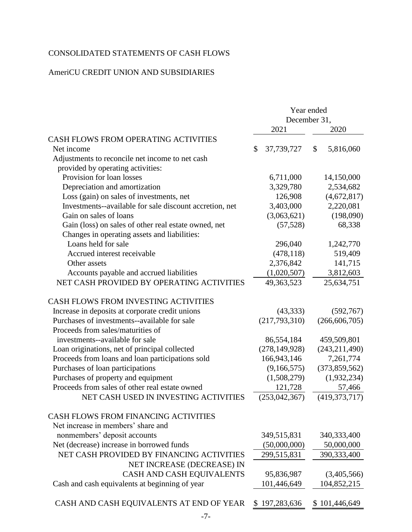# CONSOLIDATED STATEMENTS OF CASH FLOWS

## AmeriCU CREDIT UNION AND SUBSIDIARIES

|                                                         | Year ended       |                 |  |
|---------------------------------------------------------|------------------|-----------------|--|
|                                                         |                  | December 31,    |  |
|                                                         | 2021             | 2020            |  |
| <b>CASH FLOWS FROM OPERATING ACTIVITIES</b>             |                  |                 |  |
| Net income                                              | \$<br>37,739,727 | \$<br>5,816,060 |  |
| Adjustments to reconcile net income to net cash         |                  |                 |  |
| provided by operating activities:                       |                  |                 |  |
| Provision for loan losses                               | 6,711,000        | 14,150,000      |  |
| Depreciation and amortization                           | 3,329,780        | 2,534,682       |  |
| Loss (gain) on sales of investments, net                | 126,908          | (4,672,817)     |  |
| Investments--available for sale discount accretion, net | 3,403,000        | 2,220,081       |  |
| Gain on sales of loans                                  | (3,063,621)      | (198,090)       |  |
| Gain (loss) on sales of other real estate owned, net    | (57, 528)        | 68,338          |  |
| Changes in operating assets and liabilities:            |                  |                 |  |
| Loans held for sale                                     | 296,040          | 1,242,770       |  |
| Accrued interest receivable                             | (478, 118)       | 519,409         |  |
| Other assets                                            | 2,376,842        | 141,715         |  |
| Accounts payable and accrued liabilities                | (1,020,507)      | 3,812,603       |  |
| NET CASH PROVIDED BY OPERATING ACTIVITIES               | 49,363,523       | 25,634,751      |  |
| <b>CASH FLOWS FROM INVESTING ACTIVITIES</b>             |                  |                 |  |
| Increase in deposits at corporate credit unions         | (43, 333)        | (592,767)       |  |
| Purchases of investments--available for sale            | (217,793,310)    | (266, 606, 705) |  |
| Proceeds from sales/maturities of                       |                  |                 |  |
| investments--available for sale                         | 86,554,184       | 459,509,801     |  |
| Loan originations, net of principal collected           | (278, 149, 928)  | (243, 211, 490) |  |
| Proceeds from loans and loan participations sold        | 166,943,146      | 7,261,774       |  |
| Purchases of loan participations                        | (9,166,575)      | (373,859,562)   |  |
| Purchases of property and equipment                     | (1,508,279)      | (1,932,234)     |  |
| Proceeds from sales of other real estate owned          | 121,728          | 57,466          |  |
| NET CASH USED IN INVESTING ACTIVITIES                   | (253, 042, 367)  | (419, 373, 717) |  |
| CASH FLOWS FROM FINANCING ACTIVITIES                    |                  |                 |  |
| Net increase in members' share and                      |                  |                 |  |
| nonmembers' deposit accounts                            | 349,515,831      | 340, 333, 400   |  |
| Net (decrease) increase in borrowed funds               | (50,000,000)     | 50,000,000      |  |
| NET CASH PROVIDED BY FINANCING ACTIVITIES               | 299,515,831      | 390,333,400     |  |
| NET INCREASE (DECREASE) IN                              |                  |                 |  |
| CASH AND CASH EQUIVALENTS                               | 95,836,987       | (3,405,566)     |  |
| Cash and cash equivalents at beginning of year          | 101,446,649      | 104,852,215     |  |
| CASH AND CASH EQUIVALENTS AT END OF YEAR                | \$197,283,636    | \$101,446,649   |  |
|                                                         |                  |                 |  |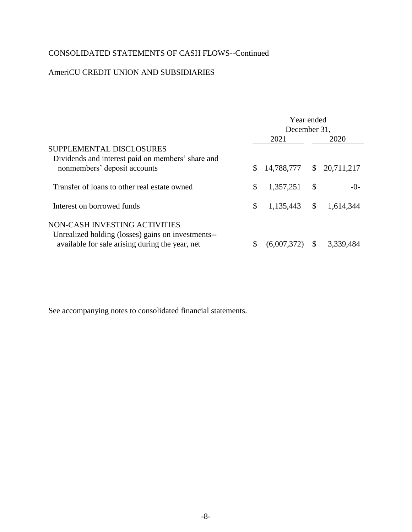# CONSOLIDATED STATEMENTS OF CASH FLOWS--Continued

## AmeriCU CREDIT UNION AND SUBSIDIARIES

|                                                                                                                                        | Year ended<br>December 31, |             |               |            |
|----------------------------------------------------------------------------------------------------------------------------------------|----------------------------|-------------|---------------|------------|
|                                                                                                                                        | 2021                       |             |               | 2020       |
| SUPPLEMENTAL DISCLOSURES<br>Dividends and interest paid on members' share and<br>nonmembers' deposit accounts                          | \$                         | 14,788,777  | $\mathbb{S}$  | 20,711,217 |
| Transfer of loans to other real estate owned                                                                                           | \$                         | 1,357,251   | <sup>\$</sup> | $-()$      |
| Interest on borrowed funds                                                                                                             | \$                         | 1,135,443   | $\mathbb{S}$  | 1,614,344  |
| NON-CASH INVESTING ACTIVITIES<br>Unrealized holding (losses) gains on investments--<br>available for sale arising during the year, net |                            | (6,007,372) | $\mathbb{S}$  | 3,339,484  |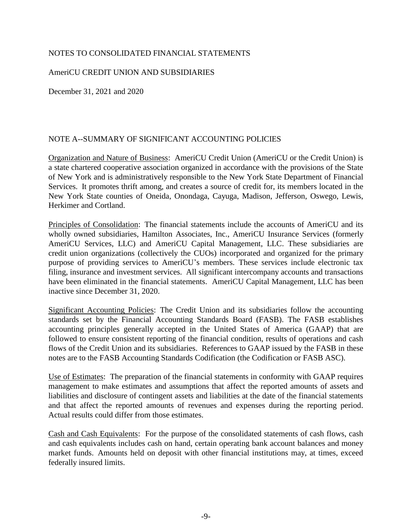## NOTES TO CONSOLIDATED FINANCIAL STATEMENTS

## AmeriCU CREDIT UNION AND SUBSIDIARIES

December 31, 2021 and 2020

## NOTE A--SUMMARY OF SIGNIFICANT ACCOUNTING POLICIES

Organization and Nature of Business: AmeriCU Credit Union (AmeriCU or the Credit Union) is a state chartered cooperative association organized in accordance with the provisions of the State of New York and is administratively responsible to the New York State Department of Financial Services. It promotes thrift among, and creates a source of credit for, its members located in the New York State counties of Oneida, Onondaga, Cayuga, Madison, Jefferson, Oswego, Lewis, Herkimer and Cortland.

Principles of Consolidation: The financial statements include the accounts of AmeriCU and its wholly owned subsidiaries, Hamilton Associates, Inc., AmeriCU Insurance Services (formerly AmeriCU Services, LLC) and AmeriCU Capital Management, LLC. These subsidiaries are credit union organizations (collectively the CUOs) incorporated and organized for the primary purpose of providing services to AmeriCU's members. These services include electronic tax filing, insurance and investment services. All significant intercompany accounts and transactions have been eliminated in the financial statements. AmeriCU Capital Management, LLC has been inactive since December 31, 2020.

Significant Accounting Policies: The Credit Union and its subsidiaries follow the accounting standards set by the Financial Accounting Standards Board (FASB). The FASB establishes accounting principles generally accepted in the United States of America (GAAP) that are followed to ensure consistent reporting of the financial condition, results of operations and cash flows of the Credit Union and its subsidiaries. References to GAAP issued by the FASB in these notes are to the FASB Accounting Standards Codification (the Codification or FASB ASC).

Use of Estimates: The preparation of the financial statements in conformity with GAAP requires management to make estimates and assumptions that affect the reported amounts of assets and liabilities and disclosure of contingent assets and liabilities at the date of the financial statements and that affect the reported amounts of revenues and expenses during the reporting period. Actual results could differ from those estimates.

Cash and Cash Equivalents: For the purpose of the consolidated statements of cash flows, cash and cash equivalents includes cash on hand, certain operating bank account balances and money market funds. Amounts held on deposit with other financial institutions may, at times, exceed federally insured limits.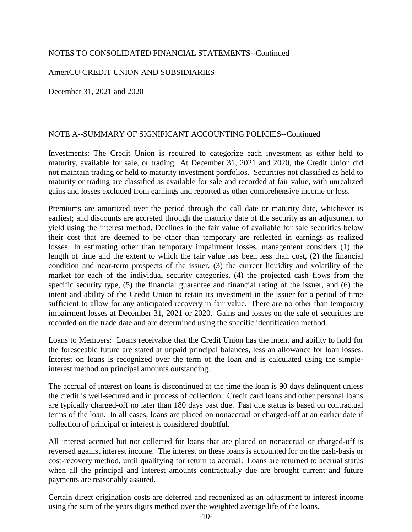### AmeriCU CREDIT UNION AND SUBSIDIARIES

December 31, 2021 and 2020

#### NOTE A--SUMMARY OF SIGNIFICANT ACCOUNTING POLICIES--Continued

Investments: The Credit Union is required to categorize each investment as either held to maturity, available for sale, or trading. At December 31, 2021 and 2020, the Credit Union did not maintain trading or held to maturity investment portfolios. Securities not classified as held to maturity or trading are classified as available for sale and recorded at fair value, with unrealized gains and losses excluded from earnings and reported as other comprehensive income or loss.

Premiums are amortized over the period through the call date or maturity date, whichever is earliest; and discounts are accreted through the maturity date of the security as an adjustment to yield using the interest method. Declines in the fair value of available for sale securities below their cost that are deemed to be other than temporary are reflected in earnings as realized losses. In estimating other than temporary impairment losses, management considers (1) the length of time and the extent to which the fair value has been less than cost, (2) the financial condition and near-term prospects of the issuer, (3) the current liquidity and volatility of the market for each of the individual security categories, (4) the projected cash flows from the specific security type, (5) the financial guarantee and financial rating of the issuer, and (6) the intent and ability of the Credit Union to retain its investment in the issuer for a period of time sufficient to allow for any anticipated recovery in fair value. There are no other than temporary impairment losses at December 31, 2021 or 2020. Gains and losses on the sale of securities are recorded on the trade date and are determined using the specific identification method.

Loans to Members: Loans receivable that the Credit Union has the intent and ability to hold for the foreseeable future are stated at unpaid principal balances, less an allowance for loan losses. Interest on loans is recognized over the term of the loan and is calculated using the simpleinterest method on principal amounts outstanding.

The accrual of interest on loans is discontinued at the time the loan is 90 days delinquent unless the credit is well-secured and in process of collection. Credit card loans and other personal loans are typically charged-off no later than 180 days past due. Past due status is based on contractual terms of the loan. In all cases, loans are placed on nonaccrual or charged-off at an earlier date if collection of principal or interest is considered doubtful.

All interest accrued but not collected for loans that are placed on nonaccrual or charged-off is reversed against interest income. The interest on these loans is accounted for on the cash-basis or cost-recovery method, until qualifying for return to accrual. Loans are returned to accrual status when all the principal and interest amounts contractually due are brought current and future payments are reasonably assured.

Certain direct origination costs are deferred and recognized as an adjustment to interest income using the sum of the years digits method over the weighted average life of the loans.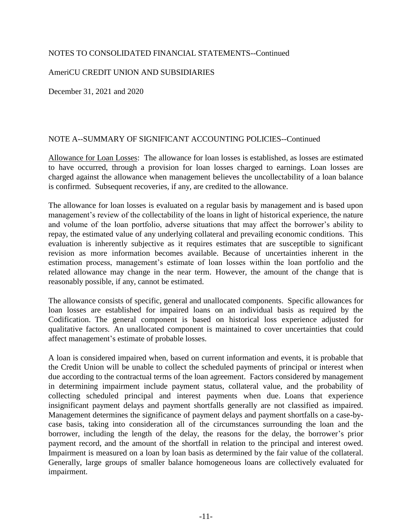## AmeriCU CREDIT UNION AND SUBSIDIARIES

December 31, 2021 and 2020

## NOTE A--SUMMARY OF SIGNIFICANT ACCOUNTING POLICIES--Continued

Allowance for Loan Losses: The allowance for loan losses is established, as losses are estimated to have occurred, through a provision for loan losses charged to earnings. Loan losses are charged against the allowance when management believes the uncollectability of a loan balance is confirmed. Subsequent recoveries, if any, are credited to the allowance.

The allowance for loan losses is evaluated on a regular basis by management and is based upon management's review of the collectability of the loans in light of historical experience, the nature and volume of the loan portfolio, adverse situations that may affect the borrower's ability to repay, the estimated value of any underlying collateral and prevailing economic conditions. This evaluation is inherently subjective as it requires estimates that are susceptible to significant revision as more information becomes available. Because of uncertainties inherent in the estimation process, management's estimate of loan losses within the loan portfolio and the related allowance may change in the near term. However, the amount of the change that is reasonably possible, if any, cannot be estimated.

The allowance consists of specific, general and unallocated components. Specific allowances for loan losses are established for impaired loans on an individual basis as required by the Codification. The general component is based on historical loss experience adjusted for qualitative factors. An unallocated component is maintained to cover uncertainties that could affect management's estimate of probable losses.

A loan is considered impaired when, based on current information and events, it is probable that the Credit Union will be unable to collect the scheduled payments of principal or interest when due according to the contractual terms of the loan agreement. Factors considered by management in determining impairment include payment status, collateral value, and the probability of collecting scheduled principal and interest payments when due. Loans that experience insignificant payment delays and payment shortfalls generally are not classified as impaired. Management determines the significance of payment delays and payment shortfalls on a case-bycase basis, taking into consideration all of the circumstances surrounding the loan and the borrower, including the length of the delay, the reasons for the delay, the borrower's prior payment record, and the amount of the shortfall in relation to the principal and interest owed. Impairment is measured on a loan by loan basis as determined by the fair value of the collateral. Generally, large groups of smaller balance homogeneous loans are collectively evaluated for impairment.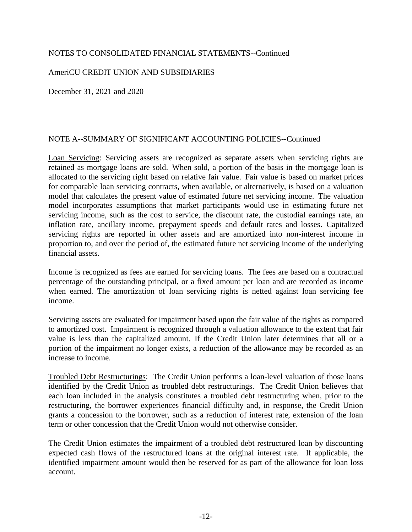### AmeriCU CREDIT UNION AND SUBSIDIARIES

December 31, 2021 and 2020

#### NOTE A--SUMMARY OF SIGNIFICANT ACCOUNTING POLICIES--Continued

Loan Servicing: Servicing assets are recognized as separate assets when servicing rights are retained as mortgage loans are sold. When sold, a portion of the basis in the mortgage loan is allocated to the servicing right based on relative fair value. Fair value is based on market prices for comparable loan servicing contracts, when available, or alternatively, is based on a valuation model that calculates the present value of estimated future net servicing income. The valuation model incorporates assumptions that market participants would use in estimating future net servicing income, such as the cost to service, the discount rate, the custodial earnings rate, an inflation rate, ancillary income, prepayment speeds and default rates and losses. Capitalized servicing rights are reported in other assets and are amortized into non-interest income in proportion to, and over the period of, the estimated future net servicing income of the underlying financial assets.

Income is recognized as fees are earned for servicing loans. The fees are based on a contractual percentage of the outstanding principal, or a fixed amount per loan and are recorded as income when earned. The amortization of loan servicing rights is netted against loan servicing fee income.

Servicing assets are evaluated for impairment based upon the fair value of the rights as compared to amortized cost. Impairment is recognized through a valuation allowance to the extent that fair value is less than the capitalized amount. If the Credit Union later determines that all or a portion of the impairment no longer exists, a reduction of the allowance may be recorded as an increase to income.

Troubled Debt Restructurings: The Credit Union performs a loan-level valuation of those loans identified by the Credit Union as troubled debt restructurings. The Credit Union believes that each loan included in the analysis constitutes a troubled debt restructuring when, prior to the restructuring, the borrower experiences financial difficulty and, in response, the Credit Union grants a concession to the borrower, such as a reduction of interest rate, extension of the loan term or other concession that the Credit Union would not otherwise consider.

The Credit Union estimates the impairment of a troubled debt restructured loan by discounting expected cash flows of the restructured loans at the original interest rate. If applicable, the identified impairment amount would then be reserved for as part of the allowance for loan loss account.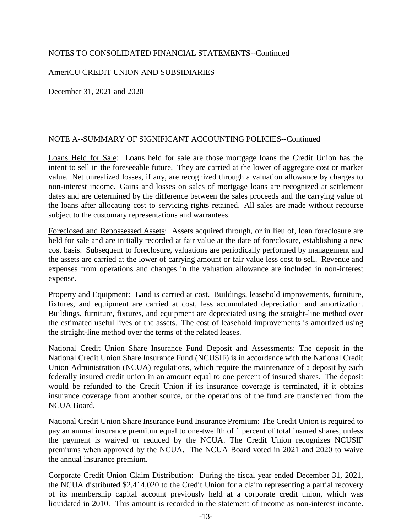## AmeriCU CREDIT UNION AND SUBSIDIARIES

December 31, 2021 and 2020

## NOTE A--SUMMARY OF SIGNIFICANT ACCOUNTING POLICIES--Continued

Loans Held for Sale: Loans held for sale are those mortgage loans the Credit Union has the intent to sell in the foreseeable future. They are carried at the lower of aggregate cost or market value. Net unrealized losses, if any, are recognized through a valuation allowance by charges to non-interest income. Gains and losses on sales of mortgage loans are recognized at settlement dates and are determined by the difference between the sales proceeds and the carrying value of the loans after allocating cost to servicing rights retained. All sales are made without recourse subject to the customary representations and warrantees.

Foreclosed and Repossessed Assets: Assets acquired through, or in lieu of, loan foreclosure are held for sale and are initially recorded at fair value at the date of foreclosure, establishing a new cost basis. Subsequent to foreclosure, valuations are periodically performed by management and the assets are carried at the lower of carrying amount or fair value less cost to sell. Revenue and expenses from operations and changes in the valuation allowance are included in non-interest expense.

Property and Equipment: Land is carried at cost. Buildings, leasehold improvements, furniture, fixtures, and equipment are carried at cost, less accumulated depreciation and amortization. Buildings, furniture, fixtures, and equipment are depreciated using the straight-line method over the estimated useful lives of the assets. The cost of leasehold improvements is amortized using the straight-line method over the terms of the related leases.

National Credit Union Share Insurance Fund Deposit and Assessments: The deposit in the National Credit Union Share Insurance Fund (NCUSIF) is in accordance with the National Credit Union Administration (NCUA) regulations, which require the maintenance of a deposit by each federally insured credit union in an amount equal to one percent of insured shares. The deposit would be refunded to the Credit Union if its insurance coverage is terminated, if it obtains insurance coverage from another source, or the operations of the fund are transferred from the NCUA Board.

National Credit Union Share Insurance Fund Insurance Premium: The Credit Union is required to pay an annual insurance premium equal to one-twelfth of 1 percent of total insured shares, unless the payment is waived or reduced by the NCUA. The Credit Union recognizes NCUSIF premiums when approved by the NCUA. The NCUA Board voted in 2021 and 2020 to waive the annual insurance premium.

Corporate Credit Union Claim Distribution: During the fiscal year ended December 31, 2021, the NCUA distributed \$2,414,020 to the Credit Union for a claim representing a partial recovery of its membership capital account previously held at a corporate credit union, which was liquidated in 2010. This amount is recorded in the statement of income as non-interest income.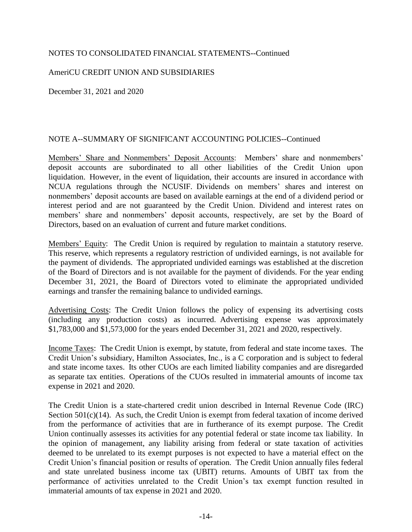### AmeriCU CREDIT UNION AND SUBSIDIARIES

December 31, 2021 and 2020

#### NOTE A--SUMMARY OF SIGNIFICANT ACCOUNTING POLICIES--Continued

Members' Share and Nonmembers' Deposit Accounts: Members' share and nonmembers' deposit accounts are subordinated to all other liabilities of the Credit Union upon liquidation. However, in the event of liquidation, their accounts are insured in accordance with NCUA regulations through the NCUSIF. Dividends on members' shares and interest on nonmembers' deposit accounts are based on available earnings at the end of a dividend period or interest period and are not guaranteed by the Credit Union. Dividend and interest rates on members' share and nonmembers' deposit accounts, respectively, are set by the Board of Directors, based on an evaluation of current and future market conditions.

Members' Equity: The Credit Union is required by regulation to maintain a statutory reserve. This reserve, which represents a regulatory restriction of undivided earnings, is not available for the payment of dividends. The appropriated undivided earnings was established at the discretion of the Board of Directors and is not available for the payment of dividends. For the year ending December 31, 2021, the Board of Directors voted to eliminate the appropriated undivided earnings and transfer the remaining balance to undivided earnings.

Advertising Costs: The Credit Union follows the policy of expensing its advertising costs (including any production costs) as incurred. Advertising expense was approximately \$1,783,000 and \$1,573,000 for the years ended December 31, 2021 and 2020, respectively.

Income Taxes: The Credit Union is exempt, by statute, from federal and state income taxes. The Credit Union's subsidiary, Hamilton Associates, Inc., is a C corporation and is subject to federal and state income taxes. Its other CUOs are each limited liability companies and are disregarded as separate tax entities. Operations of the CUOs resulted in immaterial amounts of income tax expense in 2021 and 2020.

The Credit Union is a state-chartered credit union described in Internal Revenue Code (IRC) Section 501(c)(14). As such, the Credit Union is exempt from federal taxation of income derived from the performance of activities that are in furtherance of its exempt purpose. The Credit Union continually assesses its activities for any potential federal or state income tax liability. In the opinion of management, any liability arising from federal or state taxation of activities deemed to be unrelated to its exempt purposes is not expected to have a material effect on the Credit Union's financial position or results of operation. The Credit Union annually files federal and state unrelated business income tax (UBIT) returns. Amounts of UBIT tax from the performance of activities unrelated to the Credit Union's tax exempt function resulted in immaterial amounts of tax expense in 2021 and 2020.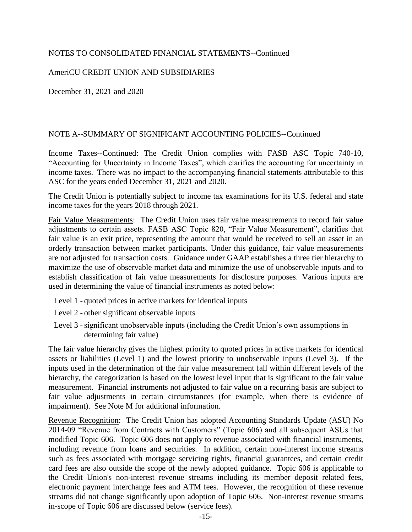## AmeriCU CREDIT UNION AND SUBSIDIARIES

December 31, 2021 and 2020

### NOTE A--SUMMARY OF SIGNIFICANT ACCOUNTING POLICIES--Continued

Income Taxes--Continued: The Credit Union complies with FASB ASC Topic 740-10, "Accounting for Uncertainty in Income Taxes", which clarifies the accounting for uncertainty in income taxes. There was no impact to the accompanying financial statements attributable to this ASC for the years ended December 31, 2021 and 2020.

The Credit Union is potentially subject to income tax examinations for its U.S. federal and state income taxes for the years 2018 through 2021.

Fair Value Measurements: The Credit Union uses fair value measurements to record fair value adjustments to certain assets. FASB ASC Topic 820, "Fair Value Measurement", clarifies that fair value is an exit price, representing the amount that would be received to sell an asset in an orderly transaction between market participants. Under this guidance, fair value measurements are not adjusted for transaction costs. Guidance under GAAP establishes a three tier hierarchy to maximize the use of observable market data and minimize the use of unobservable inputs and to establish classification of fair value measurements for disclosure purposes. Various inputs are used in determining the value of financial instruments as noted below:

- Level 1 quoted prices in active markets for identical inputs
- Level 2 other significant observable inputs
- Level 3 significant unobservable inputs (including the Credit Union's own assumptions in determining fair value)

The fair value hierarchy gives the highest priority to quoted prices in active markets for identical assets or liabilities (Level 1) and the lowest priority to unobservable inputs (Level 3). If the inputs used in the determination of the fair value measurement fall within different levels of the hierarchy, the categorization is based on the lowest level input that is significant to the fair value measurement. Financial instruments not adjusted to fair value on a recurring basis are subject to fair value adjustments in certain circumstances (for example, when there is evidence of impairment). See Note M for additional information.

Revenue Recognition: The Credit Union has adopted Accounting Standards Update (ASU) No 2014-09 "Revenue from Contracts with Customers" (Topic 606) and all subsequent ASUs that modified Topic 606. Topic 606 does not apply to revenue associated with financial instruments, including revenue from loans and securities. In addition, certain non-interest income streams such as fees associated with mortgage servicing rights, financial guarantees, and certain credit card fees are also outside the scope of the newly adopted guidance. Topic 606 is applicable to the Credit Union's non-interest revenue streams including its member deposit related fees, electronic payment interchange fees and ATM fees. However, the recognition of these revenue streams did not change significantly upon adoption of Topic 606. Non-interest revenue streams in-scope of Topic 606 are discussed below (service fees).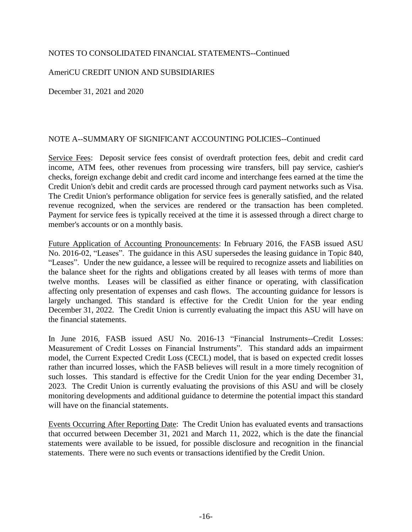### AmeriCU CREDIT UNION AND SUBSIDIARIES

December 31, 2021 and 2020

#### NOTE A--SUMMARY OF SIGNIFICANT ACCOUNTING POLICIES--Continued

Service Fees: Deposit service fees consist of overdraft protection fees, debit and credit card income, ATM fees, other revenues from processing wire transfers, bill pay service, cashier's checks, foreign exchange debit and credit card income and interchange fees earned at the time the Credit Union's debit and credit cards are processed through card payment networks such as Visa. The Credit Union's performance obligation for service fees is generally satisfied, and the related revenue recognized, when the services are rendered or the transaction has been completed. Payment for service fees is typically received at the time it is assessed through a direct charge to member's accounts or on a monthly basis.

Future Application of Accounting Pronouncements: In February 2016, the FASB issued ASU No. 2016-02, "Leases". The guidance in this ASU supersedes the leasing guidance in Topic 840, "Leases". Under the new guidance, a lessee will be required to recognize assets and liabilities on the balance sheet for the rights and obligations created by all leases with terms of more than twelve months. Leases will be classified as either finance or operating, with classification affecting only presentation of expenses and cash flows. The accounting guidance for lessors is largely unchanged. This standard is effective for the Credit Union for the year ending December 31, 2022. The Credit Union is currently evaluating the impact this ASU will have on the financial statements.

In June 2016, FASB issued ASU No. 2016-13 "Financial Instruments--Credit Losses: Measurement of Credit Losses on Financial Instruments". This standard adds an impairment model, the Current Expected Credit Loss (CECL) model, that is based on expected credit losses rather than incurred losses, which the FASB believes will result in a more timely recognition of such losses. This standard is effective for the Credit Union for the year ending December 31, 2023. The Credit Union is currently evaluating the provisions of this ASU and will be closely monitoring developments and additional guidance to determine the potential impact this standard will have on the financial statements.

Events Occurring After Reporting Date: The Credit Union has evaluated events and transactions that occurred between December 31, 2021 and March 11, 2022, which is the date the financial statements were available to be issued, for possible disclosure and recognition in the financial statements. There were no such events or transactions identified by the Credit Union.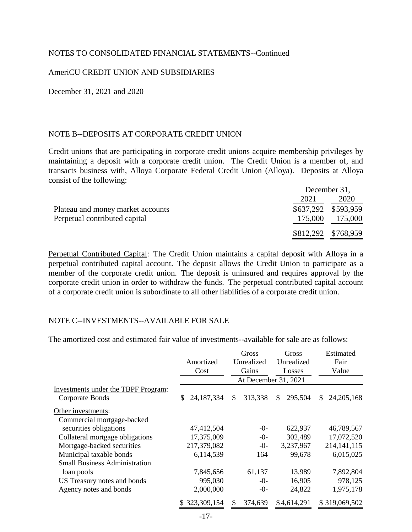#### AmeriCU CREDIT UNION AND SUBSIDIARIES

December 31, 2021 and 2020

#### NOTE B--DEPOSITS AT CORPORATE CREDIT UNION

Credit unions that are participating in corporate credit unions acquire membership privileges by maintaining a deposit with a corporate credit union. The Credit Union is a member of, and transacts business with, Alloya Corporate Federal Credit Union (Alloya). Deposits at Alloya consist of the following:

|                                   | December 31,        |                 |
|-----------------------------------|---------------------|-----------------|
|                                   | 2021                | 2020            |
| Plateau and money market accounts | \$637,292 \$593,959 |                 |
| Perpetual contributed capital     |                     | 175,000 175,000 |
|                                   | \$812,292 \$768,959 |                 |

Perpetual Contributed Capital: The Credit Union maintains a capital deposit with Alloya in a perpetual contributed capital account. The deposit allows the Credit Union to participate as a member of the corporate credit union. The deposit is uninsured and requires approval by the corporate credit union in order to withdraw the funds. The perpetual contributed capital account of a corporate credit union is subordinate to all other liabilities of a corporate credit union.

#### NOTE C--INVESTMENTS--AVAILABLE FOR SALE

The amortized cost and estimated fair value of investments--available for sale are as follows:

|                                      |                    | Gross                | Gross          | Estimated           |
|--------------------------------------|--------------------|----------------------|----------------|---------------------|
|                                      | Amortized          | Unrealized           | Unrealized     | Fair                |
|                                      | Cost               | Gains                | Losses         | Value               |
|                                      |                    | At December 31, 2021 |                |                     |
| Investments under the TBPF Program:  |                    |                      |                |                     |
| Corporate Bonds                      | \$<br>24, 187, 334 | 313,338<br>\$.       | \$.<br>295,504 | 24, 205, 168<br>\$. |
| Other investments:                   |                    |                      |                |                     |
| Commercial mortgage-backed           |                    |                      |                |                     |
| securities obligations               | 47,412,504         | $-()$ -              | 622,937        | 46,789,567          |
| Collateral mortgage obligations      | 17,375,009         | $-0-$                | 302,489        | 17,072,520          |
| Mortgage-backed securities           | 217,379,082        | $-0-$                | 3,237,967      | 214, 141, 115       |
| Municipal taxable bonds              | 6,114,539          | 164                  | 99,678         | 6,015,025           |
| <b>Small Business Administration</b> |                    |                      |                |                     |
| loan pools                           | 7,845,656          | 61,137               | 13,989         | 7,892,804           |
| US Treasury notes and bonds          | 995,030            | $-0-$                | 16,905         | 978,125             |
| Agency notes and bonds               | 2,000,000          | $-0-$                | 24,822         | 1,975,178           |
|                                      | \$323,309,154      | 374,639<br>\$.       | \$4,614,291    | \$319,069,502       |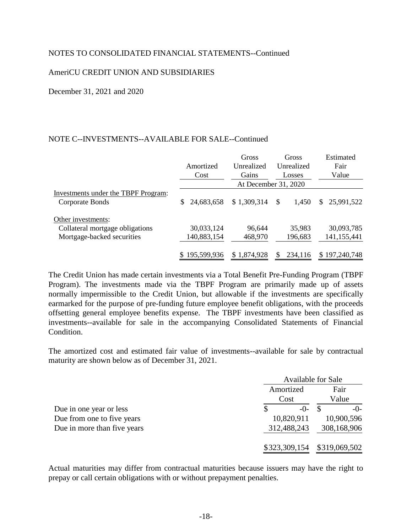#### AmeriCU CREDIT UNION AND SUBSIDIARIES

December 31, 2021 and 2020

#### NOTE C--INVESTMENTS--AVAILABLE FOR SALE--Continued

|                                                                                     | Amortized<br>Cost         | Gross<br>Unrealized<br>Gains | Gross<br>Unrealized<br>Losses | Estimated<br>Fair<br>Value |
|-------------------------------------------------------------------------------------|---------------------------|------------------------------|-------------------------------|----------------------------|
|                                                                                     |                           |                              | At December 31, 2020          |                            |
| Investments under the TBPF Program:<br>Corporate Bonds                              | 24,683,658                | \$1,309,314                  | -\$<br>1,450                  | 25,991,522<br>\$.          |
| Other investments:<br>Collateral mortgage obligations<br>Mortgage-backed securities | 30,033,124<br>140,883,154 | 96,644<br>468,970            | 35,983<br>196,683             | 30,093,785<br>141,155,441  |
|                                                                                     | \$195,599,936             | \$1,874,928                  | \$<br>234,116                 | \$197,240,748              |

The Credit Union has made certain investments via a Total Benefit Pre-Funding Program (TBPF Program). The investments made via the TBPF Program are primarily made up of assets normally impermissible to the Credit Union, but allowable if the investments are specifically earmarked for the purpose of pre-funding future employee benefit obligations, with the proceeds offsetting general employee benefits expense. The TBPF investments have been classified as investments--available for sale in the accompanying Consolidated Statements of Financial Condition.

The amortized cost and estimated fair value of investments--available for sale by contractual maturity are shown below as of December 31, 2021.

|                             |               | <b>Available for Sale</b> |
|-----------------------------|---------------|---------------------------|
|                             | Amortized     | Fair                      |
|                             | Cost          | Value                     |
| Due in one year or less     | $-()$ -       | $-()$ -                   |
| Due from one to five years  | 10,820,911    | 10,900,596                |
| Due in more than five years | 312,488,243   | 308,168,906               |
|                             | \$323,309,154 | \$319,069,502             |

Actual maturities may differ from contractual maturities because issuers may have the right to prepay or call certain obligations with or without prepayment penalties.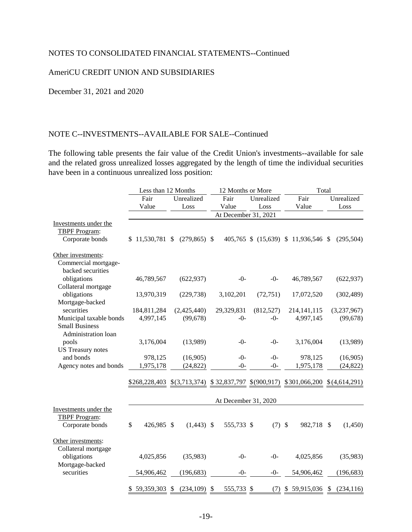#### AmeriCU CREDIT UNION AND SUBSIDIARIES

December 31, 2021 and 2020

### NOTE C--INVESTMENTS--AVAILABLE FOR SALE--Continued

The following table presents the fair value of the Credit Union's investments--available for sale and the related gross unrealized losses aggregated by the length of time the individual securities have been in a continuous unrealized loss position:

|                                                                         | Less than 12 Months |                    | 12 Months or More    |                    | Total                                                                            |                                         |  |
|-------------------------------------------------------------------------|---------------------|--------------------|----------------------|--------------------|----------------------------------------------------------------------------------|-----------------------------------------|--|
|                                                                         | Fair<br>Value       | Unrealized<br>Loss | Fair<br>Value        | Unrealized<br>Loss | Fair<br>Value                                                                    | Unrealized<br>Loss                      |  |
|                                                                         |                     |                    | At December 31, 2021 |                    |                                                                                  |                                         |  |
| Investments under the<br><b>TBPF</b> Program:<br>Corporate bonds        | $$11,530,781$ \\$   | $(279, 865)$ \$    |                      |                    | 405,765 \$ (15,639) \$ 11,936,546 \$                                             | (295, 504)                              |  |
| Other investments:<br>Commercial mortgage-<br>backed securities         |                     |                    |                      |                    |                                                                                  |                                         |  |
| obligations<br>Collateral mortgage                                      | 46,789,567          | (622, 937)         | $-0-$                | $-0-$              | 46,789,567                                                                       | (622, 937)                              |  |
| obligations<br>Mortgage-backed                                          | 13,970,319          | (229, 738)         | 3,102,201            | (72, 751)          | 17,072,520                                                                       | (302, 489)                              |  |
| securities                                                              | 184,811,284         | (2,425,440)        | 29,329,831           | (812, 527)         | 214, 141, 115                                                                    | (3,237,967)                             |  |
| Municipal taxable bonds<br><b>Small Business</b><br>Administration loan | 4,997,145           | (99, 678)          | $-0-$                | $-0-$              | 4,997,145                                                                        | (99, 678)                               |  |
| pools<br><b>US</b> Treasury notes                                       | 3,176,004           | (13,989)           | $-()$ -              | $-0-$              | 3,176,004                                                                        | (13,989)                                |  |
| and bonds                                                               | 978,125             | (16,905)           | $-0-$                | $-0-$              | 978,125                                                                          | (16,905)                                |  |
| Agency notes and bonds                                                  | 1,975,178           | (24, 822)          | $-0-$                | $-0-$              | 1,975,178                                                                        | (24, 822)                               |  |
|                                                                         |                     |                    |                      |                    | \$268,228,403 \$(3,713,374) \$32,837,797 \$(900,917) \$301,066,200 \$(4,614,291) |                                         |  |
|                                                                         |                     |                    | At December 31, 2020 |                    |                                                                                  |                                         |  |
| Investments under the<br><b>TBPF</b> Program:<br>Corporate bonds        | 426,985 \$<br>\$    | $(1,443)$ \$       | 555,733 \$           | $(7)$ \$           | 982,718                                                                          | (1,450)<br>\$                           |  |
| Other investments:<br>Collateral mortgage                               |                     |                    |                      |                    |                                                                                  |                                         |  |
| obligations<br>Mortgage-backed                                          | 4,025,856           | (35,983)           | $-0-$                | $-0-$              | 4,025,856                                                                        | (35,983)                                |  |
| securities                                                              | 54,906,462          | (196, 683)         | $-0-$                | $-0-$              | 54,906,462                                                                       | (196, 683)                              |  |
|                                                                         | $$59,359,303$ \$    | $(234,109)$ \$     | 555,733 \$           |                    | $(7)$ \$ 59,915,036                                                              | (234, 116)<br>$\boldsymbol{\mathsf{S}}$ |  |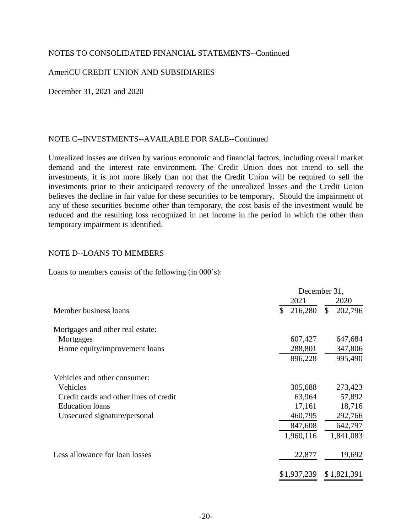#### AmeriCU CREDIT UNION AND SUBSIDIARIES

December 31, 2021 and 2020

#### NOTE C--INVESTMENTS--AVAILABLE FOR SALE--Continued

Unrealized losses are driven by various economic and financial factors, including overall market demand and the interest rate environment. The Credit Union does not intend to sell the investments, it is not more likely than not that the Credit Union will be required to sell the investments prior to their anticipated recovery of the unrealized losses and the Credit Union believes the decline in fair value for these securities to be temporary. Should the impairment of any of these securities become other than temporary, the cost basis of the investment would be reduced and the resulting loss recognized in net income in the period in which the other than temporary impairment is identified.

### NOTE D--LOANS TO MEMBERS

Loans to members consist of the following (in 000's):

|                                        |               | December 31,             |
|----------------------------------------|---------------|--------------------------|
|                                        | 2021          | 2020                     |
| Member business loans                  | \$<br>216,280 | $\mathcal{S}$<br>202,796 |
| Mortgages and other real estate:       |               |                          |
| Mortgages                              | 607,427       | 647,684                  |
| Home equity/improvement loans          | 288,801       | 347,806                  |
|                                        | 896,228       | 995,490                  |
| Vehicles and other consumer:           |               |                          |
| Vehicles                               | 305,688       | 273,423                  |
| Credit cards and other lines of credit | 63,964        | 57,892                   |
| <b>Education</b> loans                 | 17,161        | 18,716                   |
| Unsecured signature/personal           | 460,795       | 292,766                  |
|                                        | 847,608       | 642,797                  |
|                                        | 1,960,116     | 1,841,083                |
| Less allowance for loan losses         | 22,877        | 19,692                   |
|                                        | \$1,937,239   | \$1,821,391              |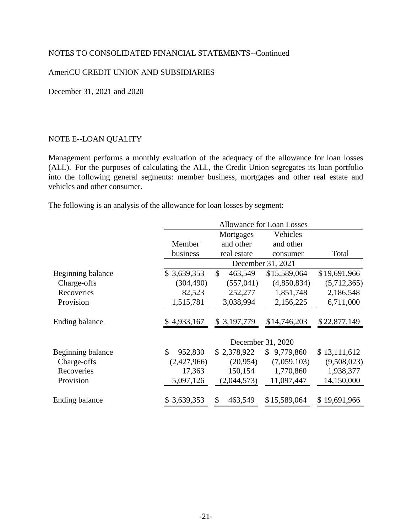#### AmeriCU CREDIT UNION AND SUBSIDIARIES

December 31, 2021 and 2020

## NOTE E--LOAN QUALITY

Management performs a monthly evaluation of the adequacy of the allowance for loan losses (ALL). For the purposes of calculating the ALL, the Credit Union segregates its loan portfolio into the following general segments: member business, mortgages and other real estate and vehicles and other consumer.

The following is an analysis of the allowance for loan losses by segment:

|                   |               | <b>Allowance for Loan Losses</b> |                           |              |  |  |  |  |  |
|-------------------|---------------|----------------------------------|---------------------------|--------------|--|--|--|--|--|
|                   |               | Mortgages                        | Vehicles                  |              |  |  |  |  |  |
|                   | Member        | and other                        | and other                 |              |  |  |  |  |  |
|                   | business      | real estate                      | consumer                  | Total        |  |  |  |  |  |
|                   |               |                                  | December 31, 2021         |              |  |  |  |  |  |
| Beginning balance | \$3,639,353   | \$<br>463,549                    | \$15,589,064              | \$19,691,966 |  |  |  |  |  |
| Charge-offs       | (304, 490)    | (557, 041)                       | (4,850,834)               | (5,712,365)  |  |  |  |  |  |
| Recoveries        | 82,523        | 252,277                          | 1,851,748                 | 2,186,548    |  |  |  |  |  |
| Provision         | 1,515,781     | 3,038,994                        | 2,156,225                 | 6,711,000    |  |  |  |  |  |
| Ending balance    | \$4,933,167   | \$3,197,779                      | \$14,746,203              | \$22,877,149 |  |  |  |  |  |
|                   |               | December 31, 2020                |                           |              |  |  |  |  |  |
| Beginning balance | \$<br>952,830 | \$2,378,922                      | 9,779,860<br>$\mathbb{S}$ | \$13,111,612 |  |  |  |  |  |
| Charge-offs       | (2,427,966)   | (20, 954)                        | (7,059,103)               | (9,508,023)  |  |  |  |  |  |
| Recoveries        | 17,363        | 150,154                          | 1,770,860                 | 1,938,377    |  |  |  |  |  |
| Provision         | 5,097,126     | (2,044,573)                      | 11,097,447                | 14,150,000   |  |  |  |  |  |
| Ending balance    | 3,639,353     | 463,549<br>S                     | \$15,589,064              | \$19,691,966 |  |  |  |  |  |
|                   |               |                                  |                           |              |  |  |  |  |  |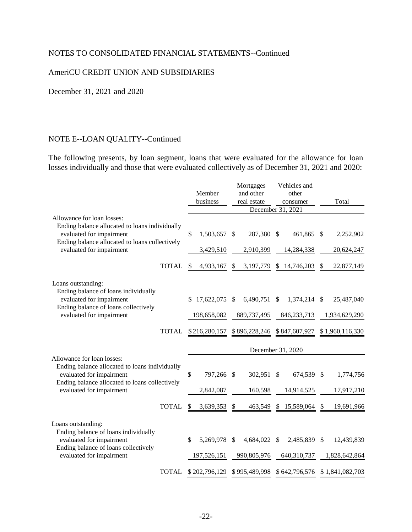#### AmeriCU CREDIT UNION AND SUBSIDIARIES

December 31, 2021 and 2020

### NOTE E--LOAN QUALITY--Continued

The following presents, by loan segment, loans that were evaluated for the allowance for loan losses individually and those that were evaluated collectively as of December 31, 2021 and 2020:

|                                                                                                                              |              | Member<br>business |               | Mortgages<br>and other<br>real estate<br>December 31, 2021 |               | Vehicles and<br>other<br>consumer |               | Total                                                     |
|------------------------------------------------------------------------------------------------------------------------------|--------------|--------------------|---------------|------------------------------------------------------------|---------------|-----------------------------------|---------------|-----------------------------------------------------------|
| Allowance for loan losses:                                                                                                   |              |                    |               |                                                            |               |                                   |               |                                                           |
| Ending balance allocated to loans individually<br>evaluated for impairment<br>Ending balance allocated to loans collectively |              | \$<br>1,503,657    | $\mathcal{S}$ | 287,380 \$                                                 |               | 461,865 \$                        |               | 2,252,902                                                 |
| evaluated for impairment                                                                                                     |              | 3,429,510          |               | 2,910,399                                                  |               | 14,284,338                        |               | 20,624,247                                                |
|                                                                                                                              | <b>TOTAL</b> | $$4,933,167$ \,    |               |                                                            |               | 3, 197, 779 \$ 14, 746, 203       | \$            | 22,877,149                                                |
| Loans outstanding:<br>Ending balance of loans individually                                                                   |              |                    |               |                                                            |               |                                   |               |                                                           |
| evaluated for impairment<br>Ending balance of loans collectively                                                             |              | \$17,622,075       | <sup>\$</sup> | 6,490,751                                                  | $\mathcal{S}$ | 1,374,214 \$                      |               | 25,487,040                                                |
| evaluated for impairment                                                                                                     |              | 198,658,082        |               | 889,737,495                                                |               | 846, 233, 713                     |               | 1,934,629,290                                             |
|                                                                                                                              | <b>TOTAL</b> | \$216,280,157      |               |                                                            |               | \$896,228,246 \$847,607,927       |               | \$1,960,116,330                                           |
|                                                                                                                              |              |                    |               | December 31, 2020                                          |               |                                   |               |                                                           |
| Allowance for loan losses:<br>Ending balance allocated to loans individually<br>evaluated for impairment                     |              | \$<br>797,266 \$   |               | 302,951 \$                                                 |               | 674,539                           | <sup>\$</sup> | 1,774,756                                                 |
| Ending balance allocated to loans collectively<br>evaluated for impairment                                                   |              | 2,842,087          |               | 160,598                                                    |               | 14,914,525                        |               | 17,917,210                                                |
|                                                                                                                              | <b>TOTAL</b> | \$<br>3,639,353    | \$            | 463,549                                                    |               | \$15,589,064                      | \$            | 19,691,966                                                |
| Loans outstanding:<br>Ending balance of loans individually                                                                   |              |                    |               |                                                            |               |                                   |               |                                                           |
| evaluated for impairment<br>Ending balance of loans collectively                                                             |              | \$<br>5,269,978    | $\mathcal{S}$ | 4,684,022                                                  | - \$          | 2,485,839 \$                      |               | 12,439,839                                                |
| evaluated for impairment                                                                                                     |              | 197,526,151        |               | 990,805,976                                                |               | 640,310,737                       |               | 1,828,642,864                                             |
|                                                                                                                              | <b>TOTAL</b> |                    |               |                                                            |               |                                   |               | \$202,796,129 \$995,489,998 \$642,796,576 \$1,841,082,703 |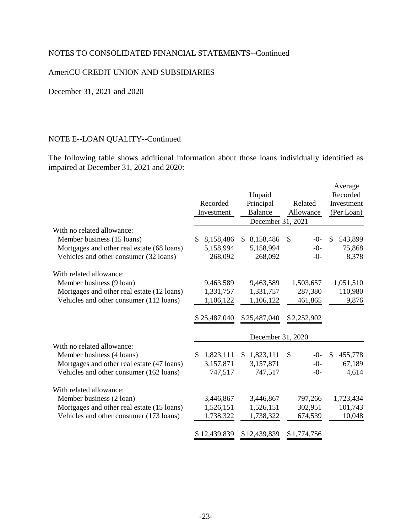## AmeriCU CREDIT UNION AND SUBSIDIARIES

December 31, 2021 and 2020

### NOTE E--LOAN QUALITY--Continued

The following table shows additional information about those loans individually identified as impaired at December 31, 2021 and 2020:

|                                            |                  |                   |                        | Average       |
|--------------------------------------------|------------------|-------------------|------------------------|---------------|
|                                            |                  | Unpaid            |                        | Recorded      |
|                                            | Recorded         | Principal         | Related                | Investment    |
|                                            | Investment       | <b>Balance</b>    | Allowance              | (Per Loan)    |
|                                            |                  | December 31, 2021 |                        |               |
| With no related allowance:                 |                  |                   |                        |               |
| Member business (15 loans)                 | 8,158,486<br>\$. | \$8,158,486       | $\mathcal{S}$<br>$-0-$ | 543,899<br>\$ |
| Mortgages and other real estate (68 loans) | 5,158,994        | 5,158,994         | $-0-$                  | 75,868        |
| Vehicles and other consumer (32 loans)     | 268,092          | 268,092           | $-0-$                  | 8,378         |
| With related allowance:                    |                  |                   |                        |               |
| Member business (9 loan)                   | 9,463,589        | 9,463,589         | 1,503,657              | 1,051,510     |
| Mortgages and other real estate (12 loans) | 1,331,757        | 1,331,757         | 287,380                | 110,980       |
| Vehicles and other consumer (112 loans)    | 1,106,122        | 1,106,122         | 461,865                | 9,876         |
|                                            | \$25,487,040     | \$25,487,040      | \$2,252,902            |               |
|                                            |                  | December 31, 2020 |                        |               |
| With no related allowance:                 |                  |                   |                        |               |
| Member business (4 loans)                  | 1,823,111<br>\$  | \$1,823,111       | \$<br>$-0-$            | 455,778<br>\$ |
| Mortgages and other real estate (47 loans) | 3,157,871        | 3,157,871         | $-0-$                  | 67,189        |
| Vehicles and other consumer (162 loans)    | 747,517          | 747,517           | $-0-$                  | 4,614         |
| With related allowance:                    |                  |                   |                        |               |
| Member business (2 loan)                   | 3,446,867        | 3,446,867         | 797,266                | 1,723,434     |
| Mortgages and other real estate (15 loans) | 1,526,151        | 1,526,151         | 302,951                | 101,743       |
| Vehicles and other consumer (173 loans)    | 1,738,322        | 1,738,322         | 674,539                | 10,048        |
|                                            | \$12,439,839     | \$12,439,839      | \$1,774,756            |               |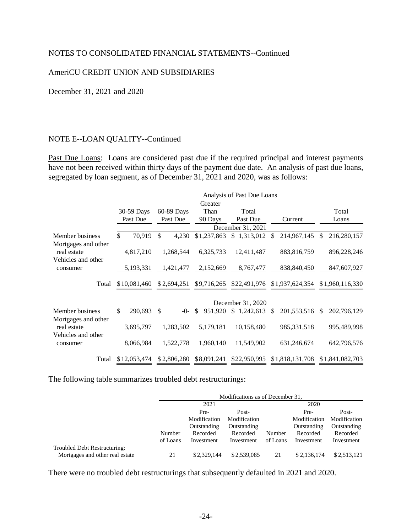#### AmeriCU CREDIT UNION AND SUBSIDIARIES

December 31, 2021 and 2020

#### NOTE E--LOAN QUALITY--Continued

Past Due Loans: Loans are considered past due if the required principal and interest payments have not been received within thirty days of the payment due date. An analysis of past due loans, segregated by loan segment, as of December 31, 2021 and 2020, was as follows:

|                                                          | Analysis of Past Due Loans |              |              |             |                          |  |                   |     |                                          |                   |
|----------------------------------------------------------|----------------------------|--------------|--------------|-------------|--------------------------|--|-------------------|-----|------------------------------------------|-------------------|
|                                                          |                            |              |              |             | Greater                  |  |                   |     |                                          |                   |
|                                                          |                            | 30-59 Days   |              | 60-89 Days  | Than                     |  | Total             |     |                                          | Total             |
|                                                          |                            | Past Due     |              | Past Due    | 90 Days                  |  | Past Due          |     | Current                                  | Loans             |
|                                                          |                            |              |              |             |                          |  | December 31, 2021 |     |                                          |                   |
| Member business                                          | \$                         | 70,919       | \$           | 4,230       | \$1,237,863              |  | \$1,313,012       | S.  | 214,967,145                              | \$<br>216,280,157 |
| Mortgages and other<br>real estate<br>Vehicles and other |                            | 4,817,210    |              | 1,268,544   | 6,325,733                |  | 12,411,487        |     | 883, 816, 759                            | 896,228,246       |
| consumer                                                 |                            | 5,193,331    |              | 1,421,477   | 2,152,669                |  | 8,767,477         |     | 838,840,450                              | 847,607,927       |
| Total                                                    |                            | \$10,081,460 |              | \$2,694,251 |                          |  |                   |     | \$9,716,265 \$22,491,976 \$1,937,624,354 | \$1,960,116,330   |
|                                                          |                            |              |              |             |                          |  | December 31, 2020 |     |                                          |                   |
| Member business                                          | \$                         | 290,693      | $\mathbb{S}$ | $-0-$       | <sup>\$</sup><br>951,920 |  | \$1,242,613       | \$. | 201,553,516                              | \$<br>202,796,129 |
| Mortgages and other<br>real estate<br>Vehicles and other |                            | 3,695,797    |              | 1,283,502   | 5,179,181                |  | 10,158,480        |     | 985, 331, 518                            | 995,489,998       |
| consumer                                                 |                            | 8,066,984    |              | 1,522,778   | 1,960,140                |  | 11,549,902        |     | 631,246,674                              | 642,796,576       |
| Total                                                    |                            | \$12,053,474 |              | \$2,806,280 | \$8,091,241              |  | \$22,950,995      |     | \$1,818,131,708                          | \$1,841,082,703   |

The following table summarizes troubled debt restructurings:

|                                 |          | Modifications as of December 31, |              |          |              |              |  |
|---------------------------------|----------|----------------------------------|--------------|----------|--------------|--------------|--|
|                                 |          | 2021                             |              |          | 2020         |              |  |
|                                 |          | Pre-<br>Post-                    |              |          | Pre-         | Post-        |  |
|                                 |          | Modification                     | Modification |          | Modification | Modification |  |
|                                 |          | Outstanding                      | Outstanding  |          | Outstanding  | Outstanding  |  |
|                                 | Number   | Recorded                         | Recorded     | Number   | Recorded     | Recorded     |  |
|                                 | of Loans | Investment                       | Investment   | of Loans | Investment   | Investment   |  |
| Troubled Debt Restructuring:    |          |                                  |              |          |              |              |  |
| Mortgages and other real estate | 21       | \$2,329,144                      | \$2,539,085  | 21       | \$2,136,174  | \$2,513,121  |  |

There were no troubled debt restructurings that subsequently defaulted in 2021 and 2020.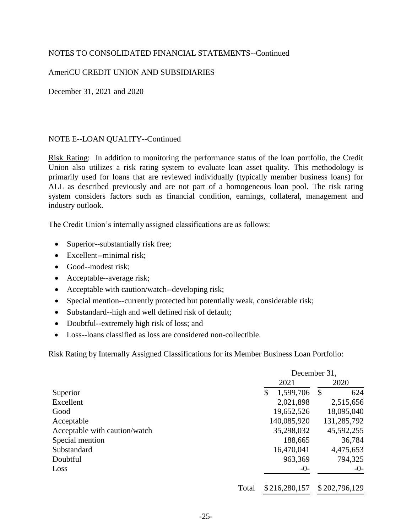### AmeriCU CREDIT UNION AND SUBSIDIARIES

December 31, 2021 and 2020

#### NOTE E--LOAN QUALITY--Continued

Risk Rating: In addition to monitoring the performance status of the loan portfolio, the Credit Union also utilizes a risk rating system to evaluate loan asset quality. This methodology is primarily used for loans that are reviewed individually (typically member business loans) for ALL as described previously and are not part of a homogeneous loan pool. The risk rating system considers factors such as financial condition, earnings, collateral, management and industry outlook.

The Credit Union's internally assigned classifications are as follows:

- Superior--substantially risk free;
- Excellent--minimal risk;
- Good--modest risk:
- Acceptable--average risk;
- Acceptable with caution/watch--developing risk;
- Special mention--currently protected but potentially weak, considerable risk;
- Substandard--high and well defined risk of default;
- Doubtful--extremely high risk of loss; and
- Loss--loans classified as loss are considered non-collectible.

Risk Rating by Internally Assigned Classifications for its Member Business Loan Portfolio:

|                               |       | December 31,    |                      |  |  |
|-------------------------------|-------|-----------------|----------------------|--|--|
|                               |       | 2021            | 2020                 |  |  |
| Superior                      |       | \$<br>1,599,706 | $\mathcal{S}$<br>624 |  |  |
| Excellent                     |       | 2,021,898       | 2,515,656            |  |  |
| Good                          |       | 19,652,526      | 18,095,040           |  |  |
| Acceptable                    |       | 140,085,920     | 131,285,792          |  |  |
| Acceptable with caution/watch |       | 35,298,032      | 45,592,255           |  |  |
| Special mention               |       | 188,665         | 36,784               |  |  |
| Substandard                   |       | 16,470,041      | 4,475,653            |  |  |
| Doubtful                      |       | 963,369         | 794,325              |  |  |
| Loss                          |       | $-0-$           | $-0-$                |  |  |
|                               | Total | \$216,280,157   | \$202,796,129        |  |  |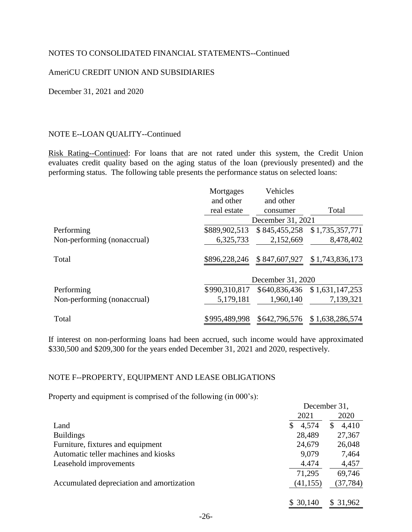#### AmeriCU CREDIT UNION AND SUBSIDIARIES

December 31, 2021 and 2020

#### NOTE E--LOAN QUALITY--Continued

Risk Rating--Continued: For loans that are not rated under this system, the Credit Union evaluates credit quality based on the aging status of the loan (previously presented) and the performing status. The following table presents the performance status on selected loans:

|                             | Mortgages<br>and other | Vehicles<br>and other |                 |
|-----------------------------|------------------------|-----------------------|-----------------|
|                             | real estate            | consumer              | Total           |
|                             |                        | December 31, 2021     |                 |
| Performing                  | \$889,902,513          | \$845,455,258         | \$1,735,357,771 |
| Non-performing (nonaccrual) | 6,325,733              | 2,152,669             | 8,478,402       |
| Total                       | \$896,228,246          | \$847,607,927         | \$1,743,836,173 |
|                             |                        | December 31, 2020     |                 |
| Performing                  | \$990,310,817          | \$640,836,436         | \$1,631,147,253 |
| Non-performing (nonaccrual) | 5,179,181              | 1,960,140             | 7,139,321       |
| Total                       | \$995,489,998          | \$642,796,576         | \$1,638,286,574 |

If interest on non-performing loans had been accrued, such income would have approximated \$330,500 and \$209,300 for the years ended December 31, 2021 and 2020, respectively.

#### NOTE F--PROPERTY, EQUIPMENT AND LEASE OBLIGATIONS

Property and equipment is comprised of the following (in 000's):

|                                           | December 31, |             |  |
|-------------------------------------------|--------------|-------------|--|
|                                           | 2021         | 2020        |  |
| Land                                      | 4,574<br>S.  | 4,410<br>\$ |  |
| <b>Buildings</b>                          | 28,489       | 27,367      |  |
| Furniture, fixtures and equipment         | 24,679       | 26,048      |  |
| Automatic teller machines and kiosks      | 9,079        | 7,464       |  |
| Leasehold improvements                    | 4.474        | 4,457       |  |
|                                           | 71,295       | 69,746      |  |
| Accumulated depreciation and amortization | (41, 155)    | (37, 784)   |  |
|                                           | \$ 30,140    | \$ 31,962   |  |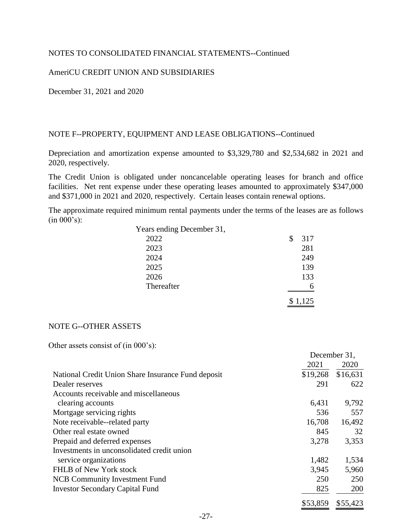### AmeriCU CREDIT UNION AND SUBSIDIARIES

December 31, 2021 and 2020

#### NOTE F--PROPERTY, EQUIPMENT AND LEASE OBLIGATIONS--Continued

Depreciation and amortization expense amounted to \$3,329,780 and \$2,534,682 in 2021 and 2020, respectively.

The Credit Union is obligated under noncancelable operating leases for branch and office facilities. Net rent expense under these operating leases amounted to approximately \$347,000 and \$371,000 in 2021 and 2020, respectively. Certain leases contain renewal options.

The approximate required minimum rental payments under the terms of the leases are as follows (in 000's):

| Years ending December 31, |           |
|---------------------------|-----------|
| 2022                      | \$<br>317 |
| 2023                      | 281       |
| 2024                      | 249       |
| 2025                      | 139       |
| 2026                      | 133       |
| Thereafter                |           |
|                           | \$1,125   |

December 21

#### NOTE G--OTHER ASSETS

Other assets consist of (in 000's):

|                                                    |          | DECEMBEL 21, |
|----------------------------------------------------|----------|--------------|
|                                                    | 2021     | 2020         |
| National Credit Union Share Insurance Fund deposit | \$19,268 | \$16,631     |
| Dealer reserves                                    | 291      | 622          |
| Accounts receivable and miscellaneous              |          |              |
| clearing accounts                                  | 6,431    | 9,792        |
| Mortgage servicing rights                          | 536      | 557          |
| Note receivable--related party                     | 16,708   | 16,492       |
| Other real estate owned                            | 845      | 32           |
| Prepaid and deferred expenses                      | 3,278    | 3,353        |
| Investments in unconsolidated credit union         |          |              |
| service organizations                              | 1,482    | 1,534        |
| FHLB of New York stock                             | 3,945    | 5,960        |
| <b>NCB Community Investment Fund</b>               | 250      | 250          |
| <b>Investor Secondary Capital Fund</b>             | 825      | 200          |
|                                                    | \$53,859 | \$55,423     |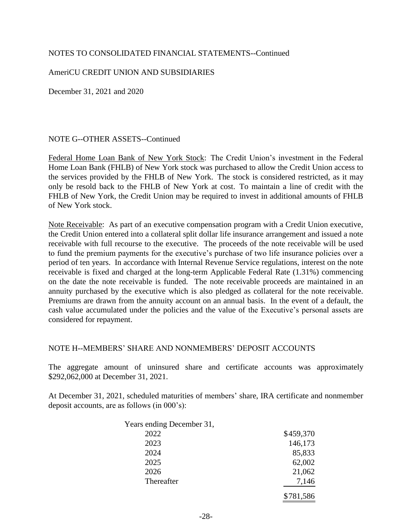### AmeriCU CREDIT UNION AND SUBSIDIARIES

December 31, 2021 and 2020

#### NOTE G--OTHER ASSETS--Continued

Federal Home Loan Bank of New York Stock: The Credit Union's investment in the Federal Home Loan Bank (FHLB) of New York stock was purchased to allow the Credit Union access to the services provided by the FHLB of New York. The stock is considered restricted, as it may only be resold back to the FHLB of New York at cost. To maintain a line of credit with the FHLB of New York, the Credit Union may be required to invest in additional amounts of FHLB of New York stock.

Note Receivable: As part of an executive compensation program with a Credit Union executive, the Credit Union entered into a collateral split dollar life insurance arrangement and issued a note receivable with full recourse to the executive. The proceeds of the note receivable will be used to fund the premium payments for the executive's purchase of two life insurance policies over a period of ten years. In accordance with Internal Revenue Service regulations, interest on the note receivable is fixed and charged at the long-term Applicable Federal Rate (1.31%) commencing on the date the note receivable is funded. The note receivable proceeds are maintained in an annuity purchased by the executive which is also pledged as collateral for the note receivable. Premiums are drawn from the annuity account on an annual basis. In the event of a default, the cash value accumulated under the policies and the value of the Executive's personal assets are considered for repayment.

#### NOTE H--MEMBERS' SHARE AND NONMEMBERS' DEPOSIT ACCOUNTS

The aggregate amount of uninsured share and certificate accounts was approximately \$292,062,000 at December 31, 2021.

At December 31, 2021, scheduled maturities of members' share, IRA certificate and nonmember deposit accounts, are as follows (in 000's):

| Years ending December 31, |           |
|---------------------------|-----------|
| 2022                      | \$459,370 |
| 2023                      | 146,173   |
| 2024                      | 85,833    |
| 2025                      | 62,002    |
| 2026                      | 21,062    |
| Thereafter                | 7,146     |
|                           | \$781,586 |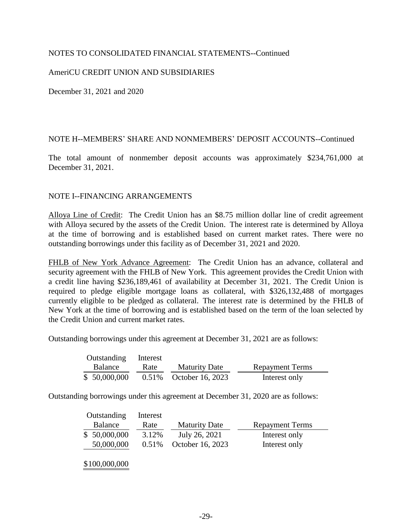### AmeriCU CREDIT UNION AND SUBSIDIARIES

December 31, 2021 and 2020

NOTE H--MEMBERS' SHARE AND NONMEMBERS' DEPOSIT ACCOUNTS--Continued

The total amount of nonmember deposit accounts was approximately \$234,761,000 at December 31, 2021.

#### NOTE I--FINANCING ARRANGEMENTS

Alloya Line of Credit: The Credit Union has an \$8.75 million dollar line of credit agreement with Alloya secured by the assets of the Credit Union. The interest rate is determined by Alloya at the time of borrowing and is established based on current market rates. There were no outstanding borrowings under this facility as of December 31, 2021 and 2020.

FHLB of New York Advance Agreement: The Credit Union has an advance, collateral and security agreement with the FHLB of New York. This agreement provides the Credit Union with a credit line having \$236,189,461 of availability at December 31, 2021. The Credit Union is required to pledge eligible mortgage loans as collateral, with \$326,132,488 of mortgages currently eligible to be pledged as collateral. The interest rate is determined by the FHLB of New York at the time of borrowing and is established based on the term of the loan selected by the Credit Union and current market rates.

Outstanding borrowings under this agreement at December 31, 2021 are as follows:

| Outstanding    | Interest |                         |                        |
|----------------|----------|-------------------------|------------------------|
| <b>Balance</b> | Rate     | <b>Maturity Date</b>    | <b>Repayment Terms</b> |
| \$ 50,000,000  |          | 0.51\% October 16, 2023 | Interest only          |

Outstanding borrowings under this agreement at December 31, 2020 are as follows:

| Outstanding    | Interest |                      |                        |
|----------------|----------|----------------------|------------------------|
| <b>Balance</b> | Rate     | <b>Maturity Date</b> | <b>Repayment Terms</b> |
| \$50,000,000   | 3.12%    | July 26, 2021        | Interest only          |
| 50,000,000     | 0.51%    | October 16, 2023     | Interest only          |
|                |          |                      |                        |

\$100,000,000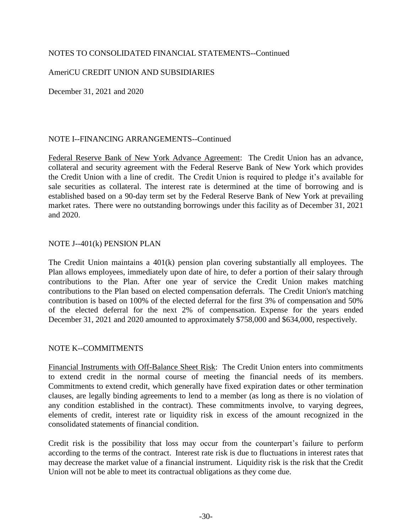## AmeriCU CREDIT UNION AND SUBSIDIARIES

December 31, 2021 and 2020

## NOTE I--FINANCING ARRANGEMENTS--Continued

Federal Reserve Bank of New York Advance Agreement: The Credit Union has an advance, collateral and security agreement with the Federal Reserve Bank of New York which provides the Credit Union with a line of credit. The Credit Union is required to pledge it's available for sale securities as collateral. The interest rate is determined at the time of borrowing and is established based on a 90-day term set by the Federal Reserve Bank of New York at prevailing market rates. There were no outstanding borrowings under this facility as of December 31, 2021 and 2020.

### NOTE J--401(k) PENSION PLAN

The Credit Union maintains a 401(k) pension plan covering substantially all employees. The Plan allows employees, immediately upon date of hire, to defer a portion of their salary through contributions to the Plan. After one year of service the Credit Union makes matching contributions to the Plan based on elected compensation deferrals. The Credit Union's matching contribution is based on 100% of the elected deferral for the first 3% of compensation and 50% of the elected deferral for the next 2% of compensation. Expense for the years ended December 31, 2021 and 2020 amounted to approximately \$758,000 and \$634,000, respectively.

#### NOTE K--COMMITMENTS

Financial Instruments with Off-Balance Sheet Risk: The Credit Union enters into commitments to extend credit in the normal course of meeting the financial needs of its members. Commitments to extend credit, which generally have fixed expiration dates or other termination clauses, are legally binding agreements to lend to a member (as long as there is no violation of any condition established in the contract). These commitments involve, to varying degrees, elements of credit, interest rate or liquidity risk in excess of the amount recognized in the consolidated statements of financial condition.

Credit risk is the possibility that loss may occur from the counterpart's failure to perform according to the terms of the contract. Interest rate risk is due to fluctuations in interest rates that may decrease the market value of a financial instrument. Liquidity risk is the risk that the Credit Union will not be able to meet its contractual obligations as they come due.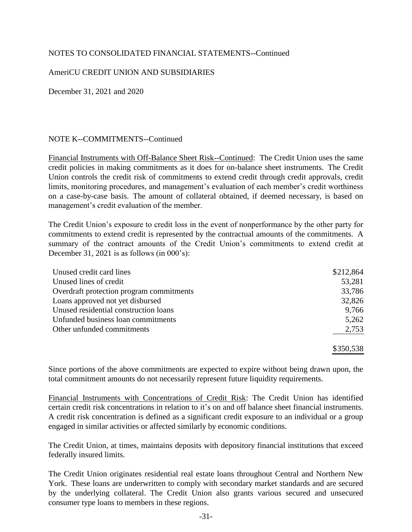## AmeriCU CREDIT UNION AND SUBSIDIARIES

December 31, 2021 and 2020

### NOTE K--COMMITMENTS--Continued

Financial Instruments with Off-Balance Sheet Risk--Continued: The Credit Union uses the same credit policies in making commitments as it does for on-balance sheet instruments. The Credit Union controls the credit risk of commitments to extend credit through credit approvals, credit limits, monitoring procedures, and management's evaluation of each member's credit worthiness on a case-by-case basis. The amount of collateral obtained, if deemed necessary, is based on management's credit evaluation of the member.

The Credit Union's exposure to credit loss in the event of nonperformance by the other party for commitments to extend credit is represented by the contractual amounts of the commitments. A summary of the contract amounts of the Credit Union's commitments to extend credit at December 31, 2021 is as follows (in 000's):

| Unused credit card lines                 | \$212,864 |
|------------------------------------------|-----------|
| Unused lines of credit                   | 53,281    |
| Overdraft protection program commitments | 33,786    |
| Loans approved not yet disbursed         | 32,826    |
| Unused residential construction loans    | 9,766     |
| Unfunded business loan commitments       | 5,262     |
| Other unfunded commitments               | 2,753     |
|                                          | \$350,538 |

Since portions of the above commitments are expected to expire without being drawn upon, the total commitment amounts do not necessarily represent future liquidity requirements.

Financial Instruments with Concentrations of Credit Risk: The Credit Union has identified certain credit risk concentrations in relation to it's on and off balance sheet financial instruments. A credit risk concentration is defined as a significant credit exposure to an individual or a group engaged in similar activities or affected similarly by economic conditions.

The Credit Union, at times, maintains deposits with depository financial institutions that exceed federally insured limits.

The Credit Union originates residential real estate loans throughout Central and Northern New York. These loans are underwritten to comply with secondary market standards and are secured by the underlying collateral. The Credit Union also grants various secured and unsecured consumer type loans to members in these regions.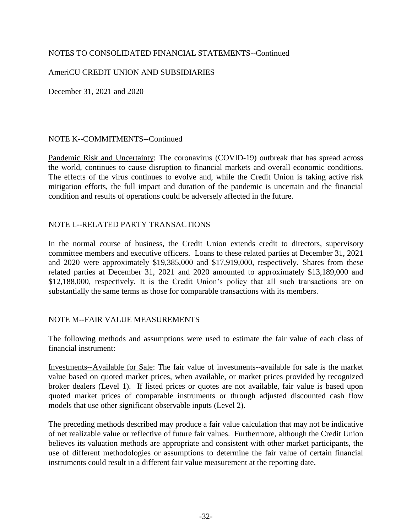## AmeriCU CREDIT UNION AND SUBSIDIARIES

December 31, 2021 and 2020

## NOTE K--COMMITMENTS--Continued

Pandemic Risk and Uncertainty: The coronavirus (COVID-19) outbreak that has spread across the world, continues to cause disruption to financial markets and overall economic conditions. The effects of the virus continues to evolve and, while the Credit Union is taking active risk mitigation efforts, the full impact and duration of the pandemic is uncertain and the financial condition and results of operations could be adversely affected in the future.

### NOTE L--RELATED PARTY TRANSACTIONS

In the normal course of business, the Credit Union extends credit to directors, supervisory committee members and executive officers. Loans to these related parties at December 31, 2021 and 2020 were approximately \$19,385,000 and \$17,919,000, respectively. Shares from these related parties at December 31, 2021 and 2020 amounted to approximately \$13,189,000 and \$12,188,000, respectively. It is the Credit Union's policy that all such transactions are on substantially the same terms as those for comparable transactions with its members.

## NOTE M--FAIR VALUE MEASUREMENTS

The following methods and assumptions were used to estimate the fair value of each class of financial instrument:

Investments--Available for Sale: The fair value of investments--available for sale is the market value based on quoted market prices, when available, or market prices provided by recognized broker dealers (Level 1). If listed prices or quotes are not available, fair value is based upon quoted market prices of comparable instruments or through adjusted discounted cash flow models that use other significant observable inputs (Level 2).

The preceding methods described may produce a fair value calculation that may not be indicative of net realizable value or reflective of future fair values. Furthermore, although the Credit Union believes its valuation methods are appropriate and consistent with other market participants, the use of different methodologies or assumptions to determine the fair value of certain financial instruments could result in a different fair value measurement at the reporting date.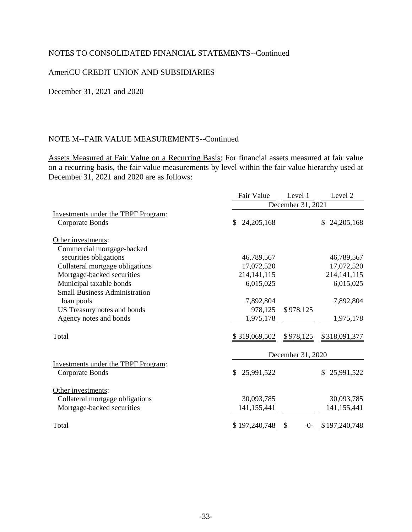### AmeriCU CREDIT UNION AND SUBSIDIARIES

December 31, 2021 and 2020

#### NOTE M--FAIR VALUE MEASUREMENTS--Continued

Assets Measured at Fair Value on a Recurring Basis: For financial assets measured at fair value on a recurring basis, the fair value measurements by level within the fair value hierarchy used at December 31, 2021 and 2020 are as follows:

|                                            | Fair Value         | Level 1           | Level <sub>2</sub> |
|--------------------------------------------|--------------------|-------------------|--------------------|
|                                            |                    | December 31, 2021 |                    |
| <b>Investments under the TBPF Program:</b> |                    |                   |                    |
| Corporate Bonds                            | \$<br>24, 205, 168 |                   | 24, 205, 168<br>\$ |
| Other investments:                         |                    |                   |                    |
| Commercial mortgage-backed                 |                    |                   |                    |
| securities obligations                     | 46,789,567         |                   | 46,789,567         |
| Collateral mortgage obligations            | 17,072,520         |                   | 17,072,520         |
| Mortgage-backed securities                 | 214, 141, 115      |                   | 214, 141, 115      |
| Municipal taxable bonds                    | 6,015,025          |                   | 6,015,025          |
| <b>Small Business Administration</b>       |                    |                   |                    |
| loan pools                                 | 7,892,804          |                   | 7,892,804          |
| US Treasury notes and bonds                | 978,125            | \$978,125         |                    |
| Agency notes and bonds                     | 1,975,178          |                   | 1,975,178          |
| Total                                      | \$319,069,502      | \$978,125         | \$318,091,377      |
|                                            |                    | December 31, 2020 |                    |
| <b>Investments under the TBPF Program:</b> |                    |                   |                    |
| Corporate Bonds                            | 25,991,522<br>\$   |                   | \$25,991,522       |
| Other investments:                         |                    |                   |                    |
| Collateral mortgage obligations            | 30,093,785         |                   | 30,093,785         |
| Mortgage-backed securities                 | 141,155,441        |                   | 141,155,441        |
| Total                                      | \$197,240,748      | \$<br>$-()$       | \$197,240,748      |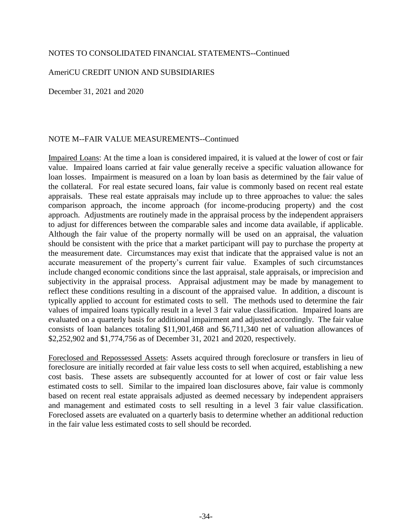#### AmeriCU CREDIT UNION AND SUBSIDIARIES

December 31, 2021 and 2020

#### NOTE M--FAIR VALUE MEASUREMENTS--Continued

Impaired Loans: At the time a loan is considered impaired, it is valued at the lower of cost or fair value. Impaired loans carried at fair value generally receive a specific valuation allowance for loan losses. Impairment is measured on a loan by loan basis as determined by the fair value of the collateral. For real estate secured loans, fair value is commonly based on recent real estate appraisals. These real estate appraisals may include up to three approaches to value: the sales comparison approach, the income approach (for income-producing property) and the cost approach. Adjustments are routinely made in the appraisal process by the independent appraisers to adjust for differences between the comparable sales and income data available, if applicable. Although the fair value of the property normally will be used on an appraisal, the valuation should be consistent with the price that a market participant will pay to purchase the property at the measurement date. Circumstances may exist that indicate that the appraised value is not an accurate measurement of the property's current fair value. Examples of such circumstances include changed economic conditions since the last appraisal, stale appraisals, or imprecision and subjectivity in the appraisal process. Appraisal adjustment may be made by management to reflect these conditions resulting in a discount of the appraised value. In addition, a discount is typically applied to account for estimated costs to sell. The methods used to determine the fair values of impaired loans typically result in a level 3 fair value classification. Impaired loans are evaluated on a quarterly basis for additional impairment and adjusted accordingly. The fair value consists of loan balances totaling \$11,901,468 and \$6,711,340 net of valuation allowances of \$2,252,902 and \$1,774,756 as of December 31, 2021 and 2020, respectively.

Foreclosed and Repossessed Assets: Assets acquired through foreclosure or transfers in lieu of foreclosure are initially recorded at fair value less costs to sell when acquired, establishing a new cost basis. These assets are subsequently accounted for at lower of cost or fair value less estimated costs to sell. Similar to the impaired loan disclosures above, fair value is commonly based on recent real estate appraisals adjusted as deemed necessary by independent appraisers and management and estimated costs to sell resulting in a level 3 fair value classification. Foreclosed assets are evaluated on a quarterly basis to determine whether an additional reduction in the fair value less estimated costs to sell should be recorded.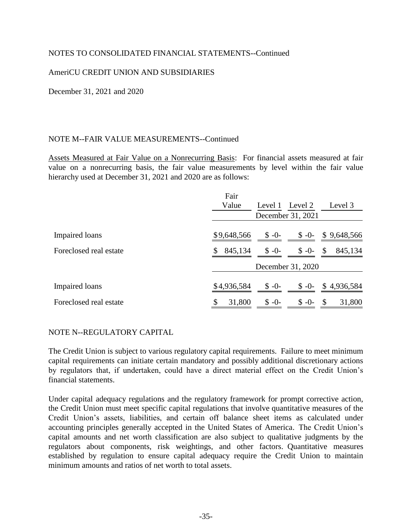## AmeriCU CREDIT UNION AND SUBSIDIARIES

December 31, 2021 and 2020

## NOTE M--FAIR VALUE MEASUREMENTS--Continued

Assets Measured at Fair Value on a Nonrecurring Basis: For financial assets measured at fair value on a nonrecurring basis, the fair value measurements by level within the fair value hierarchy used at December 31, 2021 and 2020 are as follows:

|                        | Fair<br>Value  | Level 1 | Level 2<br>December 31, 2021 | Level 3             |
|------------------------|----------------|---------|------------------------------|---------------------|
| Impaired loans         | \$9,648,566    | $S - 0$ | $$ -0-$                      | \$9,648,566         |
| Foreclosed real estate | 845,134<br>\$. | $S - 0$ | $S - 0$                      | 845,134<br><b>S</b> |
|                        |                |         | December 31, 2020            |                     |
| Impaired loans         | \$4,936,584    | $$ -0-$ | $$ -0-$                      | \$4,936,584         |
| Foreclosed real estate | 31,800         | $$ -0-$ | $$ -0-$                      | 31,800              |

#### NOTE N--REGULATORY CAPITAL

The Credit Union is subject to various regulatory capital requirements. Failure to meet minimum capital requirements can initiate certain mandatory and possibly additional discretionary actions by regulators that, if undertaken, could have a direct material effect on the Credit Union's financial statements.

Under capital adequacy regulations and the regulatory framework for prompt corrective action, the Credit Union must meet specific capital regulations that involve quantitative measures of the Credit Union's assets, liabilities, and certain off balance sheet items as calculated under accounting principles generally accepted in the United States of America. The Credit Union's capital amounts and net worth classification are also subject to qualitative judgments by the regulators about components, risk weightings, and other factors. Quantitative measures established by regulation to ensure capital adequacy require the Credit Union to maintain minimum amounts and ratios of net worth to total assets.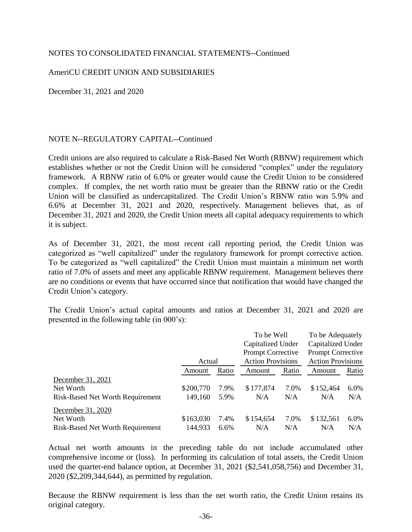### AmeriCU CREDIT UNION AND SUBSIDIARIES

December 31, 2021 and 2020

#### NOTE N--REGULATORY CAPITAL--Continued

Credit unions are also required to calculate a Risk-Based Net Worth (RBNW) requirement which establishes whether or not the Credit Union will be considered "complex" under the regulatory framework. A RBNW ratio of 6.0% or greater would cause the Credit Union to be considered complex. If complex, the net worth ratio must be greater than the RBNW ratio or the Credit Union will be classified as undercapitalized. The Credit Union's RBNW ratio was 5.9% and 6.6% at December 31, 2021 and 2020, respectively. Management believes that, as of December 31, 2021 and 2020, the Credit Union meets all capital adequacy requirements to which it is subject.

As of December 31, 2021, the most recent call reporting period, the Credit Union was categorized as "well capitalized" under the regulatory framework for prompt corrective action. To be categorized as "well capitalized" the Credit Union must maintain a minimum net worth ratio of 7.0% of assets and meet any applicable RBNW requirement. Management believes there are no conditions or events that have occurred since that notification that would have changed the Credit Union's category.

The Credit Union's actual capital amounts and ratios at December 31, 2021 and 2020 are presented in the following table (in 000's):

|                                         | To be Well        |       | To be Adequately         |       |                          |         |
|-----------------------------------------|-------------------|-------|--------------------------|-------|--------------------------|---------|
|                                         | Capitalized Under |       | Capitalized Under        |       |                          |         |
|                                         |                   |       | Prompt Corrective        |       | <b>Prompt Corrective</b> |         |
|                                         | Actual            |       | <b>Action Provisions</b> |       | <b>Action Provisions</b> |         |
|                                         | Amount            | Ratio | Amount                   | Ratio | Amount                   | Ratio   |
| December 31, 2021                       |                   |       |                          |       |                          |         |
| Net Worth                               | \$200,770         | 7.9%  | \$177,874                | 7.0%  | \$152,464                | 6.0%    |
| <b>Risk-Based Net Worth Requirement</b> | 149,160           | 5.9%  | N/A                      | N/A   | N/A                      | N/A     |
| December 31, 2020                       |                   |       |                          |       |                          |         |
| Net Worth                               | \$163,030         | 7.4%  | \$154,654                | 7.0%  | \$132,561                | $6.0\%$ |
| <b>Risk-Based Net Worth Requirement</b> | 144,933           | 6.6%  | N/A                      | N/A   | N/A                      | N/A     |

Actual net worth amounts in the preceding table do not include accumulated other comprehensive income or (loss). In performing its calculation of total assets, the Credit Union used the quarter-end balance option, at December 31, 2021 (\$2,541,058,756) and December 31, 2020 (\$2,209,344,644), as permitted by regulation.

Because the RBNW requirement is less than the net worth ratio, the Credit Union retains its original category.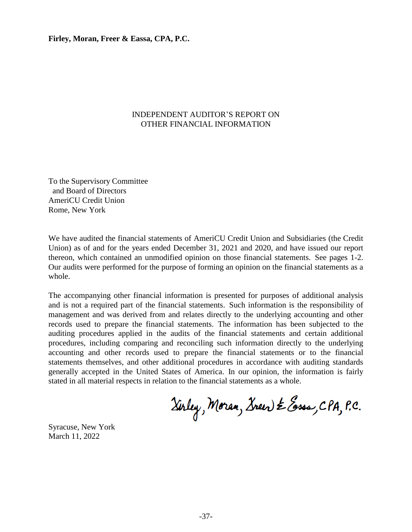**Firley, Moran, Freer & Eassa, CPA, P.C.**

#### INDEPENDENT AUDITOR'S REPORT ON OTHER FINANCIAL INFORMATION

To the Supervisory Committee and Board of Directors AmeriCU Credit Union Rome, New York

We have audited the financial statements of AmeriCU Credit Union and Subsidiaries (the Credit Union) as of and for the years ended December 31, 2021 and 2020, and have issued our report thereon, which contained an unmodified opinion on those financial statements. See pages 1-2. Our audits were performed for the purpose of forming an opinion on the financial statements as a whole.

The accompanying other financial information is presented for purposes of additional analysis and is not a required part of the financial statements. Such information is the responsibility of management and was derived from and relates directly to the underlying accounting and other records used to prepare the financial statements. The information has been subjected to the auditing procedures applied in the audits of the financial statements and certain additional procedures, including comparing and reconciling such information directly to the underlying accounting and other records used to prepare the financial statements or to the financial statements themselves, and other additional procedures in accordance with auditing standards generally accepted in the United States of America. In our opinion, the information is fairly stated in all material respects in relation to the financial statements as a whole.

Kirley, Moran, Sneer) & Essa, CPA, P.C.

Syracuse, New York March 11, 2022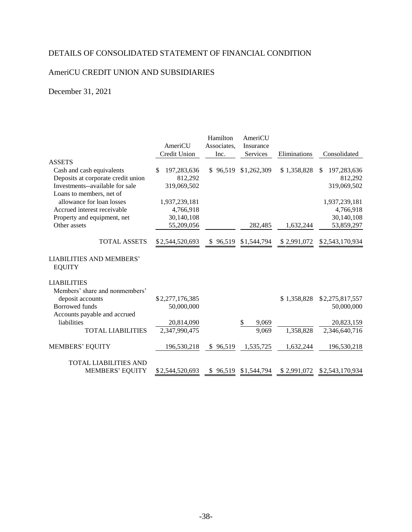# DETAILS OF CONSOLIDATED STATEMENT OF FINANCIAL CONDITION

## AmeriCU CREDIT UNION AND SUBSIDIARIES

December 31, 2021

|                                                  | AmeriCU<br>Credit Union | Hamilton<br>Associates,<br>Inc. | AmeriCU<br>Insurance<br>Services | Eliminations | Consolidated                 |
|--------------------------------------------------|-------------------------|---------------------------------|----------------------------------|--------------|------------------------------|
| <b>ASSETS</b>                                    |                         |                                 |                                  |              |                              |
| Cash and cash equivalents                        | 197,283,636             | \$96,519                        | \$1,262,309                      | \$1,358,828  | 197,283,636<br><sup>\$</sup> |
| Deposits at corporate credit union               | 812,292                 |                                 |                                  |              | 812,292                      |
| Investments--available for sale                  | 319,069,502             |                                 |                                  |              | 319,069,502                  |
| Loans to members, net of                         |                         |                                 |                                  |              |                              |
| allowance for loan losses                        | 1,937,239,181           |                                 |                                  |              | 1,937,239,181                |
| Accrued interest receivable                      | 4,766,918               |                                 |                                  |              | 4,766,918                    |
| Property and equipment, net                      | 30,140,108              |                                 |                                  |              | 30,140,108                   |
| Other assets                                     | 55,209,056              |                                 | 282,485                          | 1,632,244    | 53,859,297                   |
| <b>TOTAL ASSETS</b>                              | \$2,544,520,693         | \$96,519                        | \$1,544,794                      | \$2,991,072  | \$2,543,170,934              |
| <b>LIABILITIES AND MEMBERS'</b><br><b>EQUITY</b> |                         |                                 |                                  |              |                              |
| <b>LIABILITIES</b>                               |                         |                                 |                                  |              |                              |
| Members' share and nonmembers'                   |                         |                                 |                                  |              |                              |
| deposit accounts                                 | \$2,277,176,385         |                                 |                                  | \$1,358,828  | \$2,275,817,557              |
| <b>Borrowed</b> funds                            | 50,000,000              |                                 |                                  |              | 50,000,000                   |
| Accounts payable and accrued                     |                         |                                 |                                  |              |                              |
| liabilities                                      | 20,814,090              |                                 | \$<br>9,069                      |              | 20,823,159                   |
| <b>TOTAL LIABILITIES</b>                         | 2,347,990,475           |                                 | 9,069                            | 1,358,828    | 2,346,640,716                |
|                                                  |                         |                                 |                                  |              |                              |
| <b>MEMBERS' EQUITY</b>                           | 196,530,218             | \$96,519                        | 1,535,725                        | 1,632,244    | 196,530,218                  |
|                                                  |                         |                                 |                                  |              |                              |
| <b>TOTAL LIABILITIES AND</b>                     |                         |                                 |                                  |              |                              |
| <b>MEMBERS' EQUITY</b>                           | \$2,544,520,693         | \$96,519                        | \$1,544,794                      | \$2,991,072  | \$2,543,170,934              |
|                                                  |                         |                                 |                                  |              |                              |